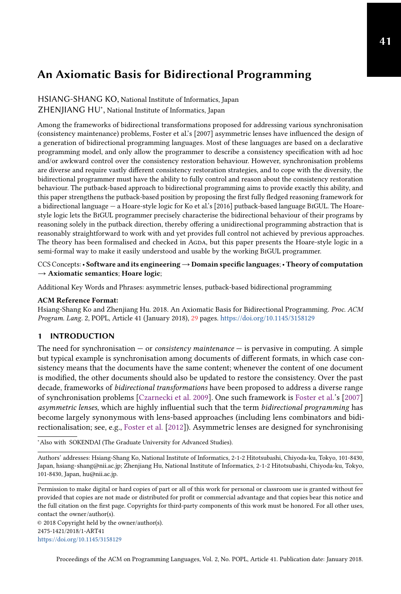HSIANG-SHANG KO, National Institute of Informatics, Japan ZHENJIANG HU<sup>∗</sup> , National Institute of Informatics, Japan

Among the frameworks of bidirectional transformations proposed for addressing various synchronisation (consistency maintenance) problems, Foster et al.'s [2007] asymmetric lenses have influenced the design of a generation of bidirectional programming languages. Most of these languages are based on a declarative programming model, and only allow the programmer to describe a consistency specification with ad hoc and/or awkward control over the consistency restoration behaviour. However, synchronisation problems are diverse and require vastly different consistency restoration strategies, and to cope with the diversity, the bidirectional programmer must have the ability to fully control and reason about the consistency restoration behaviour. The putback-based approach to bidirectional programming aims to provide exactly this ability, and this paper strengthens the putback-based position by proposing the first fully fledged reasoning framework for a bidirectional language — a Hoare-style logic for Ko et al.'s [2016] putback-based language BiGUL. The Hoarestyle logic lets the BiGUL programmer precisely characterise the bidirectional behaviour of their programs by reasoning solely in the putback direction, thereby offering a unidirectional programming abstraction that is reasonably straightforward to work with and yet provides full control not achieved by previous approaches. The theory has been formalised and checked in AGDA, but this paper presents the Hoare-style logic in a semi-formal way to make it easily understood and usable by the working BiGUL programmer.

CCS Concepts:• Software and its engineering→Domain specific languages;• Theory of computation  $\rightarrow$  Axiomatic semantics; Hoare logic;

Additional Key Words and Phrases: asymmetric lenses, putback-based bidirectional programming

#### ACM Reference Format:

Hsiang-Shang Ko and Zhenjiang Hu. 2018. An Axiomatic Basis for Bidirectional Programming. Proc. ACM Program. Lang. 2, POPL, Article 41 (January 2018), [29](#page-28-0) pages. <https://doi.org/10.1145/3158129>

## <span id="page-0-0"></span>1 INTRODUCTION

The need for synchronisation  $-$  or *consistency maintenance*  $-$  is pervasive in computing. A simple but typical example is synchronisation among documents of different formats, in which case consistency means that the documents have the same content; whenever the content of one document is modified, the other documents should also be updated to restore the consistency. Over the past decade, frameworks of bidirectional transformations have been proposed to address a diverse range of synchronisation problems [\[Czarnecki et al.](#page-27-0) [2009\]](#page-27-0). One such framework is [Foster et al.'](#page-27-1)s [\[2007\]](#page-27-1) asymmetric lenses, which are highly influential such that the term bidirectional programming has become largely synonymous with lens-based approaches (including lens combinators and bidirectionalisation; see, e.g., [Foster et al.](#page-27-2) [\[2012\]](#page-27-2)). Asymmetric lenses are designed for synchronising

<sup>∗</sup>Also with SOKENDAI (The Graduate University for Advanced Studies).

Permission to make digital or hard copies of part or all of this work for personal or classroom use is granted without fee provided that copies are not made or distributed for profit or commercial advantage and that copies bear this notice and the full citation on the first page. Copyrights for third-party components of this work must be honored. For all other uses, contact the owner/author(s).

© 2018 Copyright held by the owner/author(s). 2475-1421/2018/1-ART41 <https://doi.org/10.1145/3158129>

Authors' addresses: Hsiang-Shang Ko, National Institute of Informatics, 2-1-2 Hitotsubashi, Chiyoda-ku, Tokyo, 101-8430, Japan, hsiang-shang@nii.ac.jp; Zhenjiang Hu, National Institute of Informatics, 2-1-2 Hitotsubashi, Chiyoda-ku, Tokyo, 101-8430, Japan, hu@nii.ac.jp.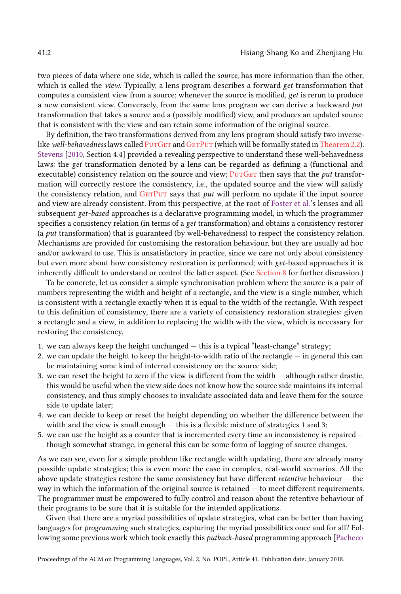two pieces of data where one side, which is called the source, has more information than the other, which is called the *view*. Typically, a lens program describes a forward *get* transformation that computes a consistent view from a source; whenever the source is modified, get is rerun to produce a new consistent view. Conversely, from the same lens program we can derive a backward put transformation that takes a source and a (possibly modified) view, and produces an updated source that is consistent with the view and can retain some information of the original source.

By definition, the two transformations derived from any lens program should satisfy two inverse-like well-behavedness laws called PUTGET and GETPUT (which will be formally stated in [Theorem 2.2\)](#page-3-2). [Stevens](#page-28-1) [\[2010,](#page-28-1) Section 4.4] provided a revealing perspective to understand these well-behavedness laws: the get transformation denoted by a lens can be regarded as defining a (functional and executable) consistency relation on the source and view; PUTGET then says that the put transformation will correctly restore the consistency, i.e., the updated source and the view will satisfy the consistency relation, and  $GETPUT$  says that  $put$  will perform no update if the input source and view are already consistent. From this perspective, at the root of [Foster et al.'](#page-27-1)s lenses and all subsequent get-based approaches is a declarative programming model, in which the programmer specifies a consistency relation (in terms of a get transformation) and obtains a consistency restorer (a  $put$  transformation) that is guaranteed (by well-behavedness) to respect the consistency relation. Mechanisms are provided for customising the restoration behaviour, but they are usually ad hoc and/or awkward to use. This is unsatisfactory in practice, since we care not only about consistency but even more about how consistency restoration is performed; with get-based approaches it is inherently difficult to understand or control the latter aspect. (See [Section 8](#page-23-0) for further discussion.)

To be concrete, let us consider a simple synchronisation problem where the source is a pair of numbers representing the width and height of a rectangle, and the view is a single number, which is consistent with a rectangle exactly when it is equal to the width of the rectangle. With respect to this definition of consistency, there are a variety of consistency restoration strategies: given a rectangle and a view, in addition to replacing the width with the view, which is necessary for restoring the consistency,

- 1. we can always keep the height unchanged this is a typical "least-change" strategy;
- 2. we can update the height to keep the height-to-width ratio of the rectangle in general this can be maintaining some kind of internal consistency on the source side;
- 3. we can reset the height to zero if the view is different from the width although rather drastic, this would be useful when the view side does not know how the source side maintains its internal consistency, and thus simply chooses to invalidate associated data and leave them for the source side to update later;
- 4. we can decide to keep or reset the height depending on whether the difference between the width and the view is small enough — this is a flexible mixture of strategies 1 and 3;
- 5. we can use the height as a counter that is incremented every time an inconsistency is repaired though somewhat strange, in general this can be some form of logging of source changes.

As we can see, even for a simple problem like rectangle width updating, there are already many possible update strategies; this is even more the case in complex, real-world scenarios. All the above update strategies restore the same consistency but have different retentive behaviour — the way in which the information of the original source is retained  $-$  to meet different requirements. The programmer must be empowered to fully control and reason about the retentive behaviour of their programs to be sure that it is suitable for the intended applications.

Given that there are a myriad possibilities of update strategies, what can be better than having languages for programming such strategies, capturing the myriad possibilities once and for all? Following some previous work which took exactly this *putback-based* programming approach [\[Pacheco](#page-28-2)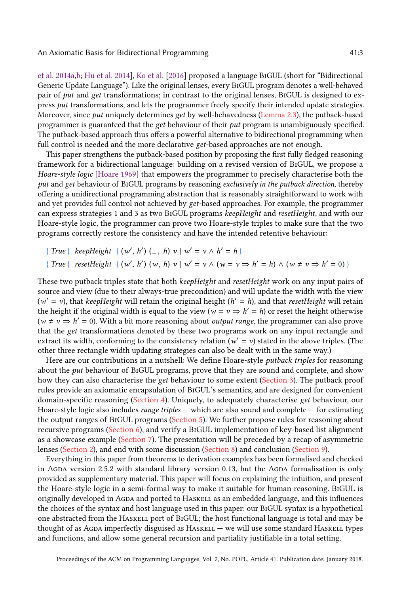[et al.](#page-28-2) [2014a,](#page-28-2)[b;](#page-28-3) [Hu et al.](#page-27-3) [2014\]](#page-27-3), [Ko et al.](#page-27-4) [\[2016\]](#page-27-4) proposed a language BiGUL (short for "Bidirectional Generic Update Language"). Like the original lenses, every BiGUL program denotes a well-behaved pair of put and get transformations; in contrast to the original lenses, BIGUL is designed to express put transformations, and lets the programmer freely specify their intended update strategies. Moreover, since put uniquely determines get by well-behavedness [\(Lemma 2.3\)](#page-3-3), the putback-based programmer is guaranteed that the get behaviour of their put program is unambiguously specified. The putback-based approach thus offers a powerful alternative to bidirectional programming when full control is needed and the more declarative get-based approaches are not enough.

This paper strengthens the putback-based position by proposing the first fully fledged reasoning framework for a bidirectional language: building on a revised version of BiGUL, we propose a Hoare-style logic [\[Hoare](#page-27-5) [1969\]](#page-27-5) that empowers the programmer to precisely characterise both the put and get behaviour of BiGUL programs by reasoning exclusively in the putback direction, thereby offering a unidirectional programming abstraction that is reasonably straightforward to work with and yet provides full control not achieved by get-based approaches. For example, the programmer can express strategies 1 and 3 as two BiGUL programs keepHeight and resetHeight, and with our Hoare-style logic, the programmer can prove two Hoare-style triples to make sure that the two programs correctly restore the consistency and have the intended retentive behaviour:

{ True } keepHeight { (w ′ , h ′ ) ( , <sup>h</sup>) <sup>v</sup> <sup>|</sup> <sup>w</sup> ′ = v ∧ h ′ = h } { True } resetHeight { (w ′ , h ′ ) (w, <sup>h</sup>) <sup>v</sup> <sup>|</sup> <sup>w</sup> ′ = v ∧ (w = v ⇒ h ′ = h) ∧ (w , v ⇒ h ′ = 0) }

These two putback triples state that both *keepHeight* and *resetHeight* work on any input pairs of source and view (due to their always-true precondition) and will update the width with the view ( $w' = v$ ), that keepHeight will retain the original height ( $h' = h$ ), and that resetHeight will retain the height if the original width is equal to the view ( $w = v \Rightarrow h' = h$ ) or reset the height otherwise  $(w ≠ v ⇒ h' = 0)$ . With a bit more reasoning about *output range*, the programmer can also prove that the get transformations denoted by these two programs work on any input rectangle and extract its width, conforming to the consistency relation ( $w' = v$ ) stated in the above triples. (The other three rectangle width updating strategies can also be dealt with in the same way.)

Here are our contributions in a nutshell: We define Hoare-style *putback triples* for reasoning about the put behaviour of BiGUL programs, prove that they are sound and complete, and show how they can also characterise the get behaviour to some extent [\(Section 3\)](#page-4-0). The putback proof rules provide an axiomatic encapsulation of BiGUL's semantics, and are designed for convenient domain-specific reasoning [\(Section 4\)](#page-5-0). Uniquely, to adequately characterise get behaviour, our Hoare-style logic also includes range triples  $-$  which are also sound and complete  $-$  for estimating the output ranges of BiGUL programs [\(Section 5\)](#page-14-0). We further propose rules for reasoning about recursive programs [\(Section 6\)](#page-18-0), and verify a BiGUL implementation of key-based list alignment as a showcase example [\(Section 7\)](#page-20-0). The presentation will be preceded by a recap of asymmetric lenses [\(Section 2\)](#page-3-4), and end with some discussion [\(Section 8\)](#page-23-0) and conclusion [\(Section 9\)](#page-26-0).

Everything in this paper from theorems to derivation examples has been formalised and checked in Agda version 2.5.2 with standard library version 0.13, but the Agda formalisation is only provided as supplementary material. This paper will focus on explaining the intuition, and present the Hoare-style logic in a semi-formal way to make it suitable for human reasoning. BiGUL is originally developed in AGDA and ported to HASKELL as an embedded language, and this influences the choices of the syntax and host language used in this paper: our BiGUL syntax is a hypothetical one abstracted from the Haskell port of BiGUL; the host functional language is total and may be thought of as Agda imperfectly disguised as  $HASKELL -$  we will use some standard  $HASKELL$  types and functions, and allow some general recursion and partiality justifiable in a total setting.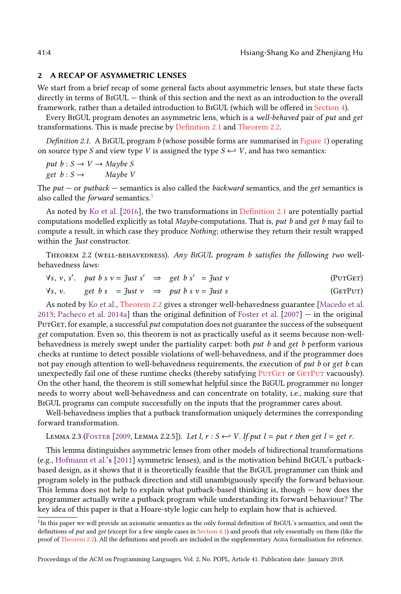## <span id="page-3-4"></span>2 A RECAP OF ASYMMETRIC LENSES

We start from a brief recap of some general facts about asymmetric lenses, but state these facts directly in terms of BiGUL — think of this section and the next as an introduction to the overall framework, rather than a detailed introduction to BiGUL (which will be offered in [Section 4\)](#page-5-0).

Every BiGUL program denotes an asymmetric lens, which is a well-behaved pair of put and get transformations. This is made precise by [Definition 2.1](#page-3-5) and [Theorem 2.2.](#page-3-2)

<span id="page-3-5"></span>Definition 2.1. A BIGUL program  $b$  (whose possible forms are summarised in [Figure 1\)](#page-5-1) operating on source type S and view type V is assigned the type  $S \leftrightarrow V$ , and has two semantics:

put  $b: S \to V \to \text{Maybe } S$ get  $b : S \rightarrow$  Maybe V

The put — or putback — semantics is also called the backward semantics, and the get semantics is also called the *forward* semantics.<sup>[1](#page-3-6)</sup>

As noted by [Ko et al.](#page-27-4) [\[2016\]](#page-27-4), the two transformations in [Definition 2.1](#page-3-5) are potentially partial computations modelled explicitly as total Maybe-computations. That is, put b and get b may fail to compute a result, in which case they produce Nothing; otherwise they return their result wrapped within the *Just* constructor.

<span id="page-3-2"></span>THEOREM 2.2 (WELL-BEHAVEDNESS). Any BIGUL program b satisfies the following two wellbehavedness laws:

<span id="page-3-1"></span><span id="page-3-0"></span>
$$
\forall s, v, s'. \quad \textit{put } b \textit{ s } v = \textit{Just } s' \quad \Rightarrow \quad \textit{get } b \textit{ s'} \quad = \textit{Just } v \tag{PurGET}
$$

$$
\forall s, v. \qquad get \ b \ s \ = \mathcal{J}ust \ v \ \ \Rightarrow \ \ put \ b \ s \ v = \mathcal{J}ust \ s \tag{GETPUT}
$$

As noted by [Ko et al.,](#page-27-4) [Theorem 2.2](#page-3-2) gives a stronger well-behavedness guarantee [\[Macedo et al.](#page-27-6) [2013;](#page-27-6) [Pacheco et al.](#page-28-2) [2014a\]](#page-28-2) than the original definition of [Foster et al.](#page-27-1)  $[2007] [2007] -$  in the original PUTGET, for example, a successful *put* computation does not guarantee the success of the subsequent get computation. Even so, this theorem is not as practically useful as it seems because non-wellbehavedness is merely swept under the partiality carpet: both put b and get b perform various checks at runtime to detect possible violations of well-behavedness, and if the programmer does not pay enough attention to well-behavedness requirements, the execution of put b or get b can unexpectedly fail one of these runtime checks (thereby satisfying PUTGET or GETPUT vacuously). On the other hand, the theorem is still somewhat helpful since the BiGUL programmer no longer needs to worry about well-behavedness and can concentrate on totality, i.e., making sure that BiGUL programs can compute successfully on the inputs that the programmer cares about.

Well-behavedness implies that a putback transformation uniquely determines the corresponding forward transformation.

<span id="page-3-3"></span>LEMMA 2.3 (FOSTER [\[2009,](#page-27-7) LEMMA 2.2.5]). Let l,  $r : S \leftrightarrow V$ . If put  $l = put r$  then get  $l = get r$ .

This lemma distinguishes asymmetric lenses from other models of bidirectional transformations (e.g., [Hofmann et al.'](#page-27-8)s [\[2011\]](#page-27-8) symmetric lenses), and is the motivation behind BiGUL's putbackbased design, as it shows that it is theoretically feasible that the BiGUL programmer can think and program solely in the putback direction and still unambiguously specify the forward behaviour. This lemma does not help to explain what putback-based thinking is, though — how does the programmer actually write a putback program while understanding its forward behaviour? The key idea of this paper is that a Hoare-style logic can help to explain how that is achieved.

<span id="page-3-6"></span><sup>&</sup>lt;sup>1</sup>In this paper we will provide an axiomatic semantics as the only formal definition of BIGUL's semantics, and omit the definitions of put and get (except for a few simple cases in [Section 4.1\)](#page-6-0) and proofs that rely essentially on them (like the proof of [Theorem 2.2\)](#page-3-2). All the definitions and proofs are included in the supplementary Agda formalisation for reference.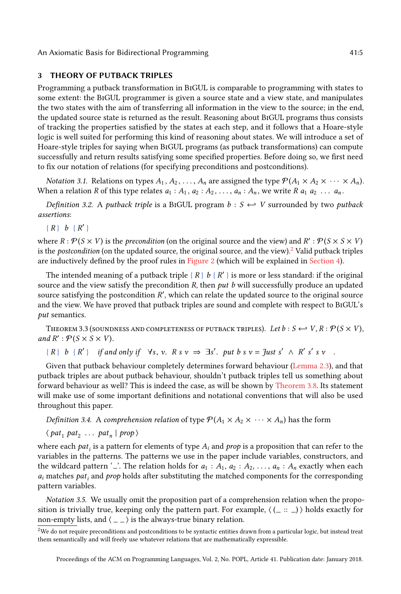## <span id="page-4-0"></span>3 THEORY OF PUTBACK TRIPLES

Programming a putback transformation in BiGUL is comparable to programming with states to some extent: the BiGUL programmer is given a source state and a view state, and manipulates the two states with the aim of transferring all information in the view to the source; in the end, the updated source state is returned as the result. Reasoning about BiGUL programs thus consists of tracking the properties satisfied by the states at each step, and it follows that a Hoare-style logic is well suited for performing this kind of reasoning about states. We will introduce a set of Hoare-style triples for saying when BiGUL programs (as putback transformations) can compute successfully and return results satisfying some specified properties. Before doing so, we first need to fix our notation of relations (for specifying preconditions and postconditions).

*Notation 3.1.* Relations on types  $A_1, A_2, \ldots, A_n$  are assigned the type  $\mathcal{P}(A_1 \times A_2 \times \cdots \times A_n)$ . When a relation R of this type relates  $a_1 : A_1, a_2 : A_2, \ldots, a_n : A_n$ , we write R  $a_1 a_2 \ldots a_n$ .

Definition 3.2. A putback triple is a BIGUL program  $b : S \hookrightarrow V$  surrounded by two putback assertions:

 ${R}$   $b$   ${R'}$ 

where  $R: \mathcal{P}(S \times V)$  is the *precondition* (on the original source and the view) and  $R': \mathcal{P}(S \times S \times V)$ is the *postcondition* (on the updated source, the original source, and the view).<sup>[2](#page-4-1)</sup> Valid putback triples are inductively defined by the proof rules in [Figure 2](#page-6-1) (which will be explained in [Section 4\)](#page-5-0).

The intended meaning of a putback triple  $\{R\}$  b  $\{R'\}$  is more or less standard: if the original source and the view satisfy the precondition  $R$ , then put b will successfully produce an updated source satisfying the postcondition  $R'$ , which can relate the updated source to the original source and the view. We have proved that putback triples are sound and complete with respect to BiGUL's put semantics.

<span id="page-4-2"></span>THEOREM 3.3 (SOUNDNESS AND COMPLETENESS OF PUTBACK TRIPLES). Let  $b: S \hookrightarrow V, R: \mathcal{P}(S \times V)$ , and  $R'$ :  $\mathcal{P}(S \times S \times V)$ .

 $\{R\}$  b  $\{R'\}$  if and only if  $\forall s, v$ .  $R s v \Rightarrow \exists s'. \text{ put } b s v = \text{Just } s' \land R' s' s v$ .

Given that putback behaviour completely determines forward behaviour [\(Lemma 2.3\)](#page-3-3), and that putback triples are about putback behaviour, shouldn't putback triples tell us something about forward behaviour as well? This is indeed the case, as will be shown by [Theorem 3.8.](#page-5-2) Its statement will make use of some important definitions and notational conventions that will also be used throughout this paper.

Definition 3.4. A comprehension relation of type  $\mathcal{P}(A_1 \times A_2 \times \cdots \times A_n)$  has the form

 $\langle pat_1 pat_2 ... pat_n | prop \rangle$ 

where each  $pat_i$  is a pattern for elements of type  $A_i$  and  $prop$  is a proposition that can refer to the variables in the patterns. The patterns we use in the paper include variables, constructors, and the wildcard pattern '...'. The relation holds for  $a_1 : A_1, a_2 : A_2, \ldots, a_n : A_n$  exactly when each  $a_i$  matches  $pat_i$  and prop holds after substituting the matched components for the corresponding pattern variables.

<span id="page-4-3"></span>Notation 3.5. We usually omit the proposition part of a comprehension relation when the proposition is trivially true, keeping only the pattern part. For example,  $\langle$  ( $=$   $::$   $=$   $\rangle$ ) holds exactly for non-empty lists, and  $\langle \_ \rangle$  is the always-true binary relation.

<span id="page-4-1"></span><sup>&</sup>lt;sup>2</sup>We do not require preconditions and postconditions to be syntactic entities drawn from a particular logic, but instead treat them semantically and will freely use whatever relations that are mathematically expressible.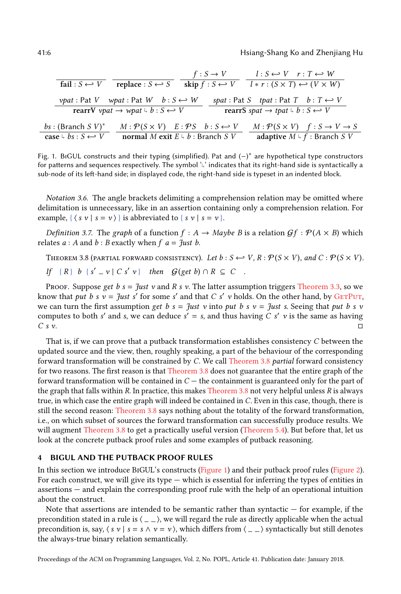41:6 Hsiang-Shang Ko and Zhenjiang Hu

<span id="page-5-1"></span>

| fail : $S \leftrightarrow V$                                                                                                        | $f: S \to V$<br>skip $f : S \hookleftarrow V$<br>replace : $S \leftrightarrow S$                                              | $l: S \leftrightarrow V \quad r: T \leftrightarrow W$<br>$l * r : (S \times T) \leftrightarrow (V \times W)$                      |
|-------------------------------------------------------------------------------------------------------------------------------------|-------------------------------------------------------------------------------------------------------------------------------|-----------------------------------------------------------------------------------------------------------------------------------|
| <i>vpat</i> : Pat V <i>wpat</i> : Pat W $b: S \hookleftarrow W$<br>rearrV vpat $\rightarrow$ wpat $\downarrow$ b : $S \leftarrow V$ |                                                                                                                               | spat: Pat S tpat: Pat T $b: T \leftrightarrow V$<br>rearrS spat $\rightarrow$ tpat $\downarrow$ b : $S \leftarrow V$              |
| bs: (Branch S $V$ )*<br>case $\downarrow$ bs : $S \leftrightarrow V$                                                                | $M: \mathcal{P}(S \times V) \quad E: \mathcal{P}S \quad b: S \hookleftarrow V$<br>normal M exit $E \downarrow b$ : Branch S V | $M: \mathcal{P}(S \times V)$ $f: S \rightarrow V \rightarrow S$<br>adaptive $M \downarrow f$ : Branch $\overline{S} \overline{V}$ |

Fig. 1. BiGUL constructs and their typing (simplified). Pat and (−) ∗ are hypothetical type constructors for patterns and sequences respectively. The symbol 'L' indicates that its right-hand side is syntactically a sub-node of its left-hand side; in displayed code, the right-hand side is typeset in an indented block.

<span id="page-5-3"></span>Notation 3.6. The angle brackets delimiting a comprehension relation may be omitted where delimitation is unnecessary, like in an assertion containing only a comprehension relation. For example, { $\langle s v | s = v \rangle$ } is abbreviated to { $s v | s = v$  }.

Definition 3.7. The graph of a function  $f : A \to Map$  be B is a relation  $\mathcal{G}f : \mathcal{P}(A \times B)$  which relates  $a : A$  and  $b : B$  exactly when  $f$   $a =$  *Just b*.

<span id="page-5-2"></span>THEOREM 3.8 (PARTIAL FORWARD CONSISTENCY). Let  $b : S \hookrightarrow V$ ,  $R : \mathcal{P}(S \times V)$ , and  $C : \mathcal{P}(S \times V)$ .

If 
$$
\{R\}
$$
 b  $\{s' = v \mid C s' v\}$  then  $G(\text{get } b) \cap R \subseteq C$ .

Proof. Suppose get  $b = \frac{f}{u}$  v and  $R s v$ . The latter assumption triggers [Theorem 3.3,](#page-4-2) so we know that put b s  $v = \frac{f}{g}$  for some s' and that C s' v holds. On the other hand, by GETPUT, we can turn the first assumption get b  $s = \frac{y}{s}$  v into put b s  $v = \frac{y}{s}$  is so vertices that put b s v computes to both s' and s, we can deduce  $s' = s$ , and thus having C s' v is the same as having  $\overline{C}$  s v.

That is, if we can prove that a putback transformation establishes consistency C between the updated source and the view, then, roughly speaking, a part of the behaviour of the corresponding forward transformation will be constrained by C. We call [Theorem 3.8](#page-5-2) partial forward consistency for two reasons. The first reason is that [Theorem 3.8](#page-5-2) does not guarantee that the entire graph of the forward transformation will be contained in  $C$  — the containment is guaranteed only for the part of the graph that falls within R. In practice, this makes [Theorem 3.8](#page-5-2) not very helpful unless R is always true, in which case the entire graph will indeed be contained in C. Even in this case, though, there is still the second reason: [Theorem 3.8](#page-5-2) says nothing about the totality of the forward transformation, i.e., on which subset of sources the forward transformation can successfully produce results. We will augment [Theorem 3.8](#page-5-2) to get a practically useful version [\(Theorem 5.4\)](#page-16-0). But before that, let us look at the concrete putback proof rules and some examples of putback reasoning.

## <span id="page-5-0"></span>4 BIGUL AND THE PUTBACK PROOF RULES

In this section we introduce BiGUL's constructs [\(Figure 1\)](#page-5-1) and their putback proof rules [\(Figure 2\)](#page-6-1). For each construct, we will give its type — which is essential for inferring the types of entities in assertions — and explain the corresponding proof rule with the help of an operational intuition about the construct.

Note that assertions are intended to be semantic rather than syntactic  $-$  for example, if the precondition stated in a rule is  $\langle \rangle - \rangle$ , we will regard the rule as directly applicable when the actual precondition is, say,  $\langle s v | s = s \land v = v \rangle$ , which differs from  $\langle - \rangle$  syntactically but still denotes the always-true binary relation semantically.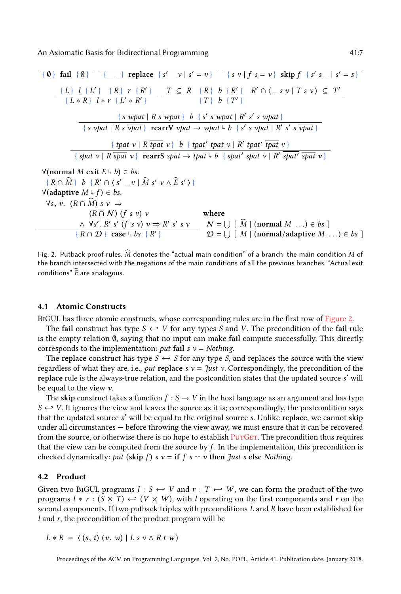<span id="page-6-1"></span>{ ∅ } fail { ∅ } { } replace { s ′ v | s ′ = v } { s v | f s = v } skip f { s ′ s | s ′ = s } { L } l { L ′ } { R } r { R ′ } { L ∗ R } l ∗ r { L ′ ∗ R ′ } <sup>T</sup> <sup>⊆</sup> <sup>R</sup> { R } <sup>b</sup> { R ′ } R ′ ∩ ⟨ s v | T s v ⟩ ⊆ T ′ {T } <sup>b</sup> {T ′ } { s wpat | R s wpat } b { s ′ s wpat | R ′ s ′ s wpat } { s vpat | R s vpat } rearrV vpat → wpat ↰ b { s ′ s vpat | R ′ s ′ s vpat } { tpat v | R tpat v } b { tpat′ tpat v | R ′ tpat′ tpat v } { spat v | R spat v } rearrS spat → tpat ↰ b { spat′ spat v | R ′ spat′ spat v } ∀(normal M exit E ↰ <sup>b</sup>) <sup>∈</sup> bs. { R ∩ MD } b { R ′ ∩ ⟨s ′ v | M s D ′ v ∧ DE s′ ⟩ } ∀(adaptive M ↰ <sup>f</sup> ) <sup>∈</sup> bs. <sup>∀</sup>s, <sup>v</sup>. (<sup>R</sup> <sup>∩</sup> <sup>M</sup>D) s v <sup>⇒</sup> (R ∩ N ) (f s v) v where ∧ ∀s ′ . R ′ s ′ (f s v) v ⇒ R ′ s ′ s v N = S [ <sup>M</sup><sup>D</sup> <sup>|</sup> (normal <sup>M</sup> . . .) <sup>∈</sup> bs ] { R ∩ D } case ↰ bs { R ′ } D = S [ <sup>M</sup> <sup>|</sup> (normal/adaptive <sup>M</sup> . . .) <sup>∈</sup> bs ]

Fig. 2. Putback proof rules.  $\hat{M}$  denotes the "actual main condition" of a branch: the main condition M of the branch intersected with the negations of the main conditions of all the previous branches. "Actual exit conditions"  $\widehat{E}$  are analogous.

#### <span id="page-6-0"></span>4.1 Atomic Constructs

BiGUL has three atomic constructs, whose corresponding rules are in the first row of [Figure 2.](#page-6-1)

The fail construct has type  $S \leftrightarrow V$  for any types S and V. The precondition of the fail rule is the empty relation  $\emptyset$ , saying that no input can make fail compute successfully. This directly corresponds to the implementation: *put* fail  $s$   $v$  = *Nothing*.

The replace construct has type  $S \leftrightarrow S$  for any type S, and replaces the source with the view regardless of what they are, i.e., put replace s  $v = \hat{t}$ ust v. Correspondingly, the precondition of the replace rule is the always-true relation, and the postcondition states that the updated source s ′ will be equal to the view  $v$ .

The skip construct takes a function  $f : S \to V$  in the host language as an argument and has type  $S \leftrightarrow V$ . It ignores the view and leaves the source as it is; correspondingly, the postcondition says that the updated source s ′ will be equal to the original source s. Unlike replace, we cannot skip under all circumstances — before throwing the view away, we must ensure that it can be recovered from the source, or otherwise there is no hope to establish  $PUTGET$ . The precondition thus requires that the view can be computed from the source by  $f$ . In the implementation, this precondition is checked dynamically: put (skip f) s  $v =$  if f s == v then Just s else Nothing.

## <span id="page-6-2"></span>4.2 Product

Given two BIGUL programs  $l : S \hookleftarrow V$  and  $r : T \hookleftarrow W$ , we can form the product of the two programs  $l * r : (S \times T) \leftrightarrow (V \times W)$ , with l operating on the first components and r on the second components. If two putback triples with preconditions L and R have been established for  $l$  and  $r$ , the precondition of the product program will be

 $L * R = \langle (s, t) (v, w) | L s v \wedge R t w \rangle$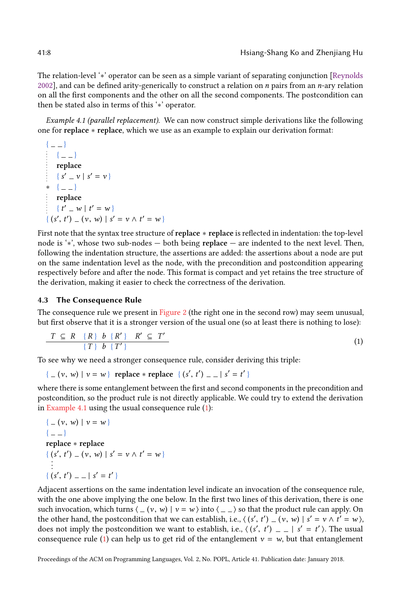The relation-level '∗' operator can be seen as a simple variant of separating conjunction [\[Reynolds](#page-28-4) [2002\]](#page-28-4), and can be defined arity-generically to construct a relation on  $n$  pairs from an  $n$ -ary relation on all the first components and the other on all the second components. The postcondition can then be stated also in terms of this '∗' operator.

<span id="page-7-0"></span>Example 4.1 (parallel replacement). We can now construct simple derivations like the following one for replace ∗ replace, which we use as an example to explain our derivation format:

```
\{ -1 \}\{ -1 \}replace
    \{ s' = v \mid s' = v \}* \{ \_ \}replace
    { t' = w | t' = w }
{ (s', t') = (v, w) | s' = v \wedge t' = w }
```
First note that the syntax tree structure of replace ∗ replace is reflected in indentation: the top-level node is '∗', whose two sub-nodes — both being replace — are indented to the next level. Then, following the indentation structure, the assertions are added: the assertions about a node are put on the same indentation level as the node, with the precondition and postcondition appearing respectively before and after the node. This format is compact and yet retains the tree structure of the derivation, making it easier to check the correctness of the derivation.

## 4.3 The Consequence Rule

The consequence rule we present in [Figure 2](#page-6-1) (the right one in the second row) may seem unusual, but first observe that it is a stronger version of the usual one (so at least there is nothing to lose):

<span id="page-7-1"></span>
$$
T \subseteq R \{R\} b \{R'\} R' \subseteq T'
$$
  

$$
\{T\} b \{T'\}
$$
  
(1)

To see why we need a stronger consequence rule, consider deriving this triple:

{  $( v, w ) | v = w$ } replace \* replace {  $(s', t') = | s' = t'$  }

where there is some entanglement between the first and second components in the precondition and postcondition, so the product rule is not directly applicable. We could try to extend the derivation in [Example 4.1](#page-7-0) using the usual consequence rule [\(1\)](#page-7-1):

```
\{- (v, w) | v = w \}\{ -1 \}replace ∗ replace
{ (s', t') _ (v, w) | s' = v \wedge t' = w }
\{ (s', t') = - | s' = t' \}
```
Adjacent assertions on the same indentation level indicate an invocation of the consequence rule, with the one above implying the one below. In the first two lines of this derivation, there is one such invocation, which turns  $\langle -(v, w) | v = w \rangle$  into  $\langle - \rangle$  so that the product rule can apply. On the other hand, the postcondition that we can establish, i.e.,  $\langle (s', t') - (v, w) | s' = v \wedge t' = w \rangle$ , does not imply the postcondition we want to establish i.e.,  $\langle (s', t') - (v, w) | s' = t' \rangle$ . The usual does not imply the postcondition we want to establish, i.e.,  $\langle (s', t') \rangle = |s' = t' \rangle$ . The usual consequence rule (1) can beln us to get rid of the entanglement  $y = w$  but that entanglement consequence rule [\(1\)](#page-7-1) can help us to get rid of the entanglement  $v = w$ , but that entanglement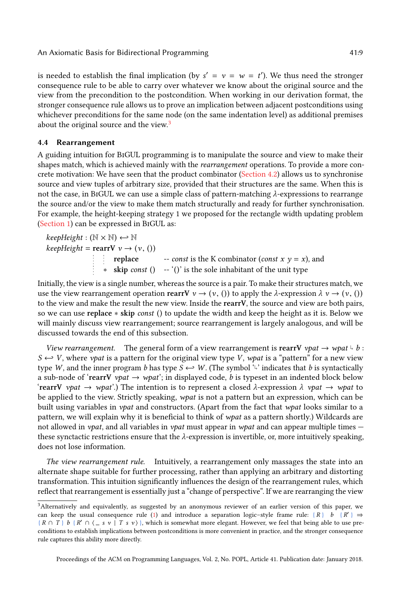is needed to establish the final implication (by  $s' = v = w = t'$ ). We thus need the stronger consequence rule to be able to carry over whatever we know about the original source and the view from the precondition to the postcondition. When working in our derivation format, the stronger consequence rule allows us to prove an implication between adjacent postconditions using whichever preconditions for the same node (on the same indentation level) as additional premises about the original source and the view.<sup>[3](#page-8-0)</sup>

#### 4.4 Rearrangement

A guiding intuition for BiGUL programming is to manipulate the source and view to make their shapes match, which is achieved mainly with the rearrangement operations. To provide a more concrete motivation: We have seen that the product combinator [\(Section 4.2\)](#page-6-2) allows us to synchronise source and view tuples of arbitrary size, provided that their structures are the same. When this is not the case, in BIGUL we can use a simple class of pattern-matching λ-expressions to rearrange the source and/or the view to make them match structurally and ready for further synchronisation. For example, the height-keeping strategy 1 we proposed for the rectangle width updating problem [\(Section 1\)](#page-0-0) can be expressed in BiGUL as:

 $keepHeight : (\mathbb{N} \times \mathbb{N}) \leftarrow \mathbb{N}$  $keepHeight = rearV \ v \rightarrow (v, ())$ replace -- *const* is the K combinator (*const*  $x$   $y = x$ ), and ∗ skip const () -- '()' is the sole inhabitant of the unit type

Initially, the view is a single number, whereas the source is a pair. To make their structures match, we use the view rearrangement operation rearry  $v \to (v, ()$  to apply the  $\lambda$ -expression  $\lambda v \to (v, ()$ to the view and make the result the new view. Inside the rearrV, the source and view are both pairs, so we can use replace ∗ skip const () to update the width and keep the height as it is. Below we will mainly discuss view rearrangement; source rearrangement is largely analogous, and will be discussed towards the end of this subsection.

View rearrangement. The general form of a view rearrangement is rearrV vpat  $\rightarrow$  wpat  $\frac{1}{2}$  b :  $S \leftarrow V$ , where *vpat* is a pattern for the original view type V, *wpat* is a "pattern" for a new view type W, and the inner program b has type  $S \leftarrow W$ . (The symbol '<sup>L</sup>' indicates that b is syntactically a sub-node of 'rearrV *vpat*  $\rightarrow$  *wpat*'; in displayed code, *b* is typeset in an indented block below 'rearrV vpat  $\rightarrow$  wpat'.) The intention is to represent a closed  $\lambda$ -expression  $\lambda$  vpat  $\rightarrow$  wpat to be applied to the view. Strictly speaking, wpat is not a pattern but an expression, which can be built using variables in *vpat* and constructors. (Apart from the fact that *wpat* looks similar to a pattern, we will explain why it is beneficial to think of wpat as a pattern shortly.) Wildcards are not allowed in *vpat*, and all variables in *vpat* must appear in *wpat* and can appear multiple times  $$ these synctactic restrictions ensure that the  $\lambda$ -expression is invertible, or, more intuitively speaking, does not lose information.

The view rearrangement rule. Intuitively, a rearrangement only massages the state into an alternate shape suitable for further processing, rather than applying an arbitrary and distorting transformation. This intuition significantly influences the design of the rearrangement rules, which reflect that rearrangement is essentially just a "change of perspective". If we are rearranging the view

<span id="page-8-0"></span><sup>3</sup>Alternatively and equivalently, as suggested by an anonymous reviewer of an earlier version of this paper, we can keep the usual consequence rule [\(1\)](#page-7-1) and introduce a separation logic-style frame rule: {R} b {R'}  $\Rightarrow$  ${R \cap T}$  b  ${R' \cap \langle \_ s \ v | T s \ v \rangle}$ , which is somewhat more elegant. However, we feel that being able to use preconditions to establish implications between postconditions is more convenient in practice, and the stronger consequence rule captures this ability more directly.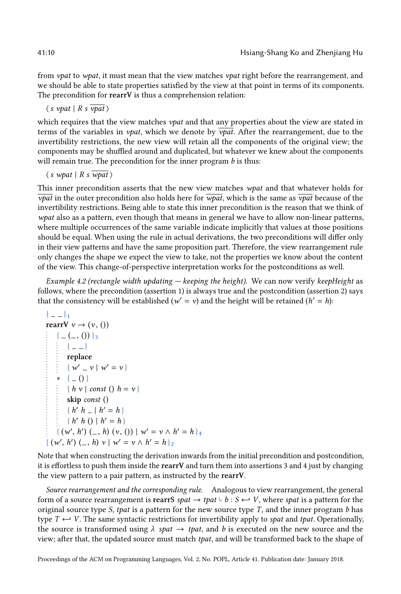from *vpat* to *wpat*, it must mean that the view matches *vpat* right before the rearrangement, and we should be able to state properties satisfied by the view at that point in terms of its components. The precondition for rearrV is thus a comprehension relation:

 $\langle s \text{ vpat} | R \text{ s } \overline{\text{ vpat}} \rangle$ 

which requires that the view matches  $vpat$  and that any properties about the view are stated in terms of the variables in *vpat*, which we denote by  $\overline{vpat}$ . After the rearrangement, due to the invertibility restrictions, the new view will retain all the components of the original view; the components may be shuffled around and duplicated, but whatever we knew about the components will remain true. The precondition for the inner program  $b$  is thus:

 $\langle s \nleftrightarrow u$  | R s  $\overline{wpat}$   $\rangle$ 

This inner precondition asserts that the new view matches wpat and that whatever holds for  $\overline{vpat}$  in the outer precondition also holds here for  $\overline{wpat}$ , which is the same as  $\overline{vpat}$  because of the invertibility restrictions. Being able to state this inner precondition is the reason that we think of wpat also as a pattern, even though that means in general we have to allow non-linear patterns, where multiple occurrences of the same variable indicate implicitly that values at those positions should be equal. When using the rule in actual derivations, the two preconditions will differ only in their view patterns and have the same proposition part. Therefore, the view rearrangement rule only changes the shape we expect the view to take, not the properties we know about the content of the view. This change-of-perspective interpretation works for the postconditions as well.

Example 4.2 (rectangle width updating — keeping the height). We can now verify keepHeight as follows, where the precondition (assertion 1) is always true and the postcondition (assertion 2) says that the consistency will be established ( $w' = v$ ) and the height will be retained ( $h' = h$ ):

```
{ } 1
rearrV v \rightarrow (v, ()\{ -(1, 0) \}3
     {A = -}replace
        \{ w' = v \mid w' = v \}* { ( ) }
      \{ h v \mid const (h = v \}skip const ()
        \{h' h_-\, | h'=h\}\{h' h () \mid h' = h\}\{ (w', h') \, (-, h) \, (v, () ) \mid w' = v \wedge h' = h \}_4{ (w', h') (-, h) v | w' = v \wedge h' = h } 2
```
Note that when constructing the derivation inwards from the initial precondition and postcondition, it is effortless to push them inside the rearrV and turn them into assertions 3 and 4 just by changing the view pattern to a pair pattern, as instructed by the rearrV.

Source rearrangement and the corresponding rule. Analogous to view rearrangement, the general form of a source rearrangement is rearrS spat  $\rightarrow$  tpat  $\frac{1}{2}$  b :  $S \leftarrow V$ , where spat is a pattern for the original source type S, that is a pattern for the new source type T, and the inner program h has original source type S, tpat is a pattern for the new source type  $T$ , and the inner program  $b$  has type  $T \leftrightarrow V$ . The same syntactic restrictions for invertibility apply to spat and tpat. Operationally, the source is transformed using  $\lambda$  spat  $\rightarrow$  tpat, and b is executed on the new source and the view; after that, the updated source must match *tpat*, and will be transformed back to the shape of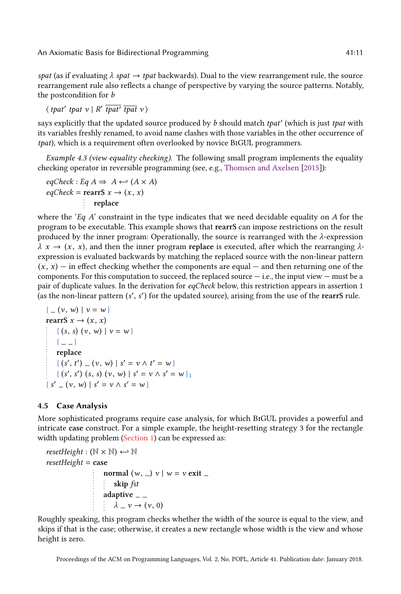spat (as if evaluating  $\lambda$  spat  $\rightarrow$  tpat backwards). Dual to the view rearrangement rule, the source rearrangement rule also reflects a change of perspective by varying the source patterns. Notably, the postcondition for b

 $\langle$  tpat' tpat v | R' tpat' tpat v  $\rangle$ 

says explicitly that the updated source produced by b should match tpat' (which is just tpat with its variables freshly renamed, to avoid name clashes with those variables in the other occurrence of tpat), which is a requirement often overlooked by novice BiGUL programmers.

Example 4.3 (view equality checking). The following small program implements the equality checking operator in reversible programming (see, e.g., [Thomsen and Axelsen](#page-28-5) [\[2015\]](#page-28-5)):

 $eqCheck : Eq A \Rightarrow A \leftrightarrow (A \times A)$  $eqCheck = **rearrS** x \rightarrow (x, x)$ replace

where the 'Eq  $A$ ' constraint in the type indicates that we need decidable equality on  $A$  for the program to be executable. This example shows that rearrS can impose restrictions on the result produced by the inner program: Operationally, the source is rearranged with the  $\lambda$ -expression  $\lambda x \rightarrow (x, x)$ , and then the inner program replace is executed, after which the rearranging  $\lambda$ expression is evaluated backwards by matching the replaced source with the non-linear pattern  $(x, x)$  – in effect checking whether the components are equal – and then returning one of the components. For this computation to succeed, the replaced source  $-$  i.e., the input view  $-$  must be a pair of duplicate values. In the derivation for eqCheck below, this restriction appears in assertion 1 (as the non-linear pattern  $(s', s')$  for the updated source), arising from the use of the rearrS rule.

$$
\{ (v, w) \mid v = w \}
$$
  
rearrS  $x \to (x, x)$   

$$
\{ (s, s) (v, w) \mid v = w \}
$$
  

$$
\{ (-\ )
$$
  
replace  

$$
\{ (s', t') = (v, w) \mid s' = v \land t' = w \}
$$
  

$$
\{ (s', s') (s, s) (v, w) \mid s' = v \land s' = w \}
$$
  

$$
\{ s' = (v, w) \mid s' = v \land s' = w \}
$$

## 4.5 Case Analysis

More sophisticated programs require case analysis, for which BiGUL provides a powerful and intricate case construct. For a simple example, the height-resetting strategy 3 for the rectangle width updating problem [\(Section 1\)](#page-0-0) can be expressed as:

```
resetHeight : (\mathbb{N} \times \mathbb{N}) \leftarrow \mathbb{N}resetHeight = casenormal (w, \_) v \mid w = v exit \_skip fst
                           adaptive \overline{\phantom{a}} =
                               \lambda = v \rightarrow (v, 0)
```
Roughly speaking, this program checks whether the width of the source is equal to the view, and skips if that is the case; otherwise, it creates a new rectangle whose width is the view and whose height is zero.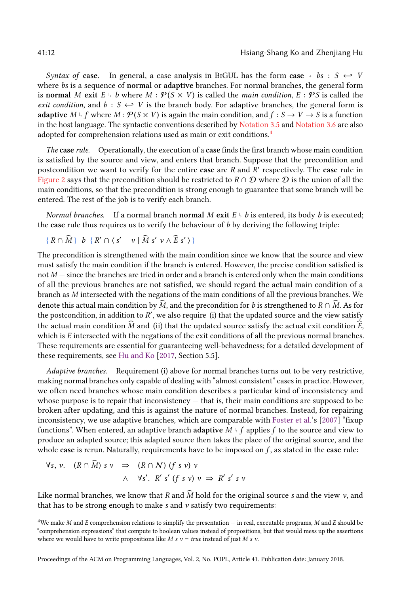Syntax of case. In general, a case analysis in BiGUL has the form case  $\downarrow$  bs :  $S \leftrightarrow V$ where bs is a sequence of **normal** or adaptive branches. For normal branches, the general form is normal M exit  $E \subseteq b$  where  $M : \mathcal{P}(S \times V)$  is called the *main condition*,  $E : \mathcal{P}S$  is called the exit condition, and  $b : S \leftrightarrow V$  is the branch body. For adaptive branches, the general form is adaptive  $M \downarrow f$  where  $M : \mathcal{P}(S \times V)$  is again the main condition, and  $f : S \to V \to S$  is a function in the host language. The syntactic conventions described by [Notation 3.5](#page-4-3) and [Notation 3.6](#page-5-3) are also adopted for comprehension relations used as main or exit conditions.[4](#page-11-0)

The case rule. Operationally, the execution of a case finds the first branch whose main condition is satisfied by the source and view, and enters that branch. Suppose that the precondition and postcondition we want to verify for the entire case are  $R$  and  $R'$  respectively. The case rule in [Figure 2](#page-6-1) says that the precondition should be restricted to  $R \cap D$  where D is the union of all the main conditions, so that the precondition is strong enough to guarantee that some branch will be entered. The rest of the job is to verify each branch.

Normal branches. If a normal branch normal M exit  $E \downarrow b$  is entered, its body b is executed; the case rule thus requires us to verify the behaviour of  $b$  by deriving the following triple:

$$
\{R \cap \widehat{M}\}\, b \, \{R' \cap \langle s' \, \_\, v \mid \widehat{M} \, s' \, v \land \widehat{E} \, s' \,\rangle\}
$$

The precondition is strengthened with the main condition since we know that the source and view must satisfy the main condition if the branch is entered. However, the precise condition satisfied is not  $M$  — since the branches are tried in order and a branch is entered only when the main conditions of all the previous branches are not satisfied, we should regard the actual main condition of a branch as M intersected with the negations of the main conditions of all the previous branches. We denote this actual main condition by  $\hat{M}$ , and the precondition for b is strengthened to  $R \cap \hat{M}$ . As for the postcondition, in addition to  $R'$ , we also require (i) that the updated source and the view satisfy the actual main condition  $\tilde{M}$  and (ii) that the updated source satisfy the actual exit condition  $\tilde{E}$ , which is E intersected with the negations of the exit conditions of all the previous normal branches. These requirements are essential for guaranteeing well-behavedness; for a detailed development of these requirements, see [Hu and Ko](#page-27-9) [\[2017,](#page-27-9) Section 5.5].

Adaptive branches. Requirement (i) above for normal branches turns out to be very restrictive, making normal branches only capable of dealing with "almost consistent" cases in practice. However, we often need branches whose main condition describes a particular kind of inconsistency and whose purpose is to repair that inconsistency — that is, their main conditions are supposed to be broken after updating, and this is against the nature of normal branches. Instead, for repairing inconsistency, we use adaptive branches, which are comparable with [Foster et al.'](#page-27-1)s [\[2007\]](#page-27-1) "fixup functions". When entered, an adaptive branch adaptive  $\bar{M}\uplus \bar{f}$  applies  $f$  to the source and view to produce an adapted source; this adapted source then takes the place of the original source, and the whole case is rerun. Naturally, requirements have to be imposed on  $f$ , as stated in the case rule:

$$
\forall s, v. \quad (R \cap \widehat{M}) \ s \ v \Rightarrow (R \cap N) \ (f \ s \ v) \ v
$$
  

$$
\land \quad \forall s'. \ R' \ s' \ (f \ s \ v) \ v \Rightarrow R' \ s' \ s \ v
$$

Like normal branches, we know that R and M hold for the original source s and the view  $v$ , and that has to be strong enough to make  $s$  and  $v$  satisfy two requirements:

<span id="page-11-0"></span><sup>&</sup>lt;sup>4</sup>We make M and E comprehension relations to simplify the presentation — in real, executable programs, M and E should be "comprehension expressions" that compute to boolean values instead of propositions, but that would mess up the assertions where we would have to write propositions like  $M s v = true$  instead of just  $M s v$ .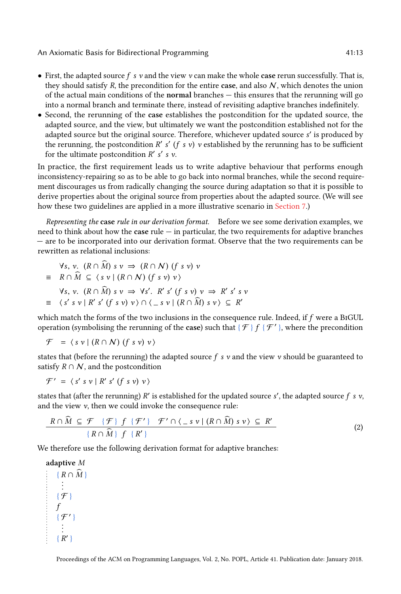- First, the adapted source  $f \cdot y$  and the view  $v$  can make the whole case rerun successfully. That is, they should satisfy R, the precondition for the entire case, and also  $N$ , which denotes the union of the actual main conditions of the normal branches — this ensures that the rerunning will go into a normal branch and terminate there, instead of revisiting adaptive branches indefinitely.
- Second, the rerunning of the case establishes the postcondition for the updated source, the adapted source, and the view, but ultimately we want the postcondition established not for the adapted source but the original source. Therefore, whichever updated source s' is produced by the rerunning, the postcondition  $R'$  s' (f s v) v established by the rerunning has to be sufficient for the ultimate postcondition  $R'$  s' s v.

In practice, the first requirement leads us to write adaptive behaviour that performs enough inconsistency-repairing so as to be able to go back into normal branches, while the second requirement discourages us from radically changing the source during adaptation so that it is possible to derive properties about the original source from properties about the adapted source. (We will see how these two guidelines are applied in a more illustrative scenario in [Section 7.](#page-20-0))

Representing the case rule in our derivation format. Before we see some derivation examples, we need to think about how the case  $rule -$  in particular, the two requirements for adaptive branches — are to be incorporated into our derivation format. Observe that the two requirements can be rewritten as relational inclusions:

$$
\forall s, v. (R \cap \widehat{M}) s v \Rightarrow (R \cap N) (f s v) v
$$
  
\n
$$
\equiv R \cap \widehat{M} \subseteq \langle s v | (R \cap N) (f s v) v \rangle
$$
  
\n
$$
\forall s, v. (R \cap \widehat{M}) s v \Rightarrow \forall s'. R' s' (f s v) v \Rightarrow R' s' s v
$$
  
\n
$$
\equiv \langle s' s v | R' s' (f s v) v \rangle \cap \langle -s v | (R \cap \widehat{M}) s v \rangle \subseteq R'
$$

which match the forms of the two inclusions in the consequence rule. Indeed, if f were a BiGUL operation (symbolising the rerunning of the case) such that  $\{f\}$   $f$   $\{f'\}$ , where the precondition

$$
\mathcal{F} = \langle s \, v \mid (R \cap N) \, (f \, s \, v) \, v \rangle
$$

states that (before the rerunning) the adapted source f s  $\nu$  and the view  $\nu$  should be guaranteed to satisfy  $R \cap N$ , and the postcondition

$$
\mathcal{F}' = \langle s' s v | R' s' (f s v) v \rangle
$$

states that (after the rerunning)  $R'$  is established for the updated source  $s'$ , the adapted source  $f \, s \, v$ , and the view  $v$ , then we could invoke the consequence rule:

<span id="page-12-0"></span>
$$
\frac{R \cap \widehat{M} \subseteq \mathcal{F} \{ \mathcal{F} \} \{ \mathcal{F}' \} \mathcal{F}' \cap \langle \_ s \nu | (R \cap \widehat{M}) \, s \, \nu \rangle \subseteq R'}{\{ R \cap \widehat{M} \} \{ \{ R' \} \}} \tag{2}
$$

We therefore use the following derivation format for adaptive branches:

adaptive M  $\{R \cap \widehat{M}\}\$ . . . { F } f  $\{f'\}$ . :<br>{ R' }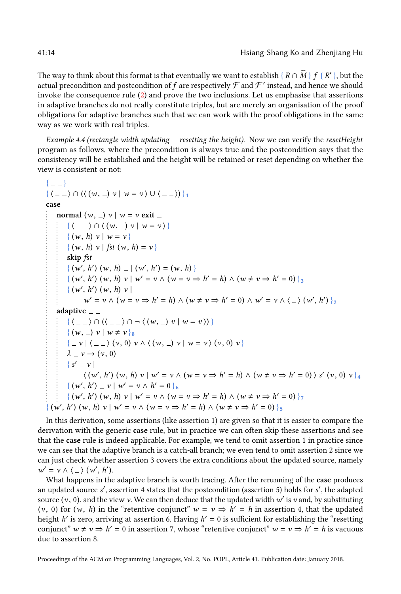The way to think about this format is that eventually we want to establish {  $R \cap \widehat{M}$  }  $f$  {  $R'$  }, but the actual precondition and postcondition of  $f$  are respectively  ${\mathcal F}$  and  ${\mathcal F}'$  instead, and hence we should invoke the consequence rule [\(2\)](#page-12-0) and prove the two inclusions. Let us emphasise that assertions in adaptive branches do not really constitute triples, but are merely an organisation of the proof obligations for adaptive branches such that we can work with the proof obligations in the same way as we work with real triples.

<span id="page-13-0"></span>Example 4.4 (rectangle width updating  $-$  resetting the height). Now we can verify the resetHeight program as follows, where the precondition is always true and the postcondition says that the consistency will be established and the height will be retained or reset depending on whether the view is consistent or not:

```
\{ -1 \}\{ \langle -2 \rangle \cap (\langle (w, 2) \vee | w = v \rangle \cup \langle -2 \rangle) \}_1case
     normal (w, \_) v \mid w = v exit \_\{ \langle \_\ \rangle \cap \langle (w, \_\) v \mid w = v \rangle \}\{(w, h) v \mid w = v\}\{(w, h) v | fst (w, h) = v\}skip fst
           { (w', h') (w, h) = | (w', h') = (w, h)}<br>(x', h') (w, h) as x' = w \wedge (w - w - w)\{ (w', h') (w, h) v \mid w' = v \land (w = v \Rightarrow h' = h) \land (w \neq v \Rightarrow h' = 0) \}_3{ (w', h') (w, h) v |
                   w' = v \wedge (w = v \Rightarrow h' = h) \wedge (w \neq v \Rightarrow h' = 0) \wedge w' = v \wedge \langle \_ \rangle (w', h') \rangle_2adaptive = -\{ \langle \_\rangle \cap (\langle \_\rangle \rangle \cap \neg \langle (w, \_) \ v \mid w = v \rangle ) \}\{(w, )v \mid w \neq v\}_{8}\{-v \mid \langle v, 0 \rangle v \wedge \langle (w, v) v \rangle w = v \rangle (v, 0) v \}\lambda = v \rightarrow (v, 0)\{s' = v \}\langle (w', h') (w, h) v \mid w' = v \wedge (w = v \Rightarrow h' = h) \wedge (w \neq v \Rightarrow h' = 0) \rangle s' (v, 0) v \rangle_4\{(w', h') \; | \; v \; | \; w' = v \land h' = 0 \}\{(w', h') (w, h) v \mid w' = v \wedge (w = v \Rightarrow h' = h) \wedge (w \neq v \Rightarrow h' = 0) \}{ (w', h') (w, h) v \mid w' = v \land (w = v \Rightarrow h' = h) \land (w \neq v \Rightarrow h' = 0) }_{5}
```
In this derivation, some assertions (like assertion 1) are given so that it is easier to compare the derivation with the generic case rule, but in practice we can often skip these assertions and see that the case rule is indeed applicable. For example, we tend to omit assertion 1 in practice since we can see that the adaptive branch is a catch-all branch; we even tend to omit assertion 2 since we can just check whether assertion 3 covers the extra conditions about the updated source, namely  $w' = v \wedge \langle \rangle (w', h').$ <br>What happens in the

What happens in the adaptive branch is worth tracing. After the rerunning of the case produces an updated source s', assertion 4 states that the postcondition (assertion 5) holds for s', the adapted source  $(v, 0)$ , and the view v. We can then deduce that the updated width w' is v and, by substituting  $(v, 0)$  for  $(w, h)$  in the "retentive conjunct"  $w = v \rightarrow h' = h$  in assertion 4, that the undated (v, 0) for (w, h) in the "retentive conjunct"  $w = v \Rightarrow h' = h$  in assertion 4, that the updated height h' is zero, arriving at assertion 6. Having h' = 0 is sufficient for establishing the "resetting" height h' is zero, arriving at assertion 6. Having  $h' = 0$  is sufficient for establishing the "resetting" conjunct"  $w \neq v \Rightarrow h' = 0$  in assertion 7, whose "retentive conjunct"  $w = v \Rightarrow h' = h$  is vacuous due to assertion 8.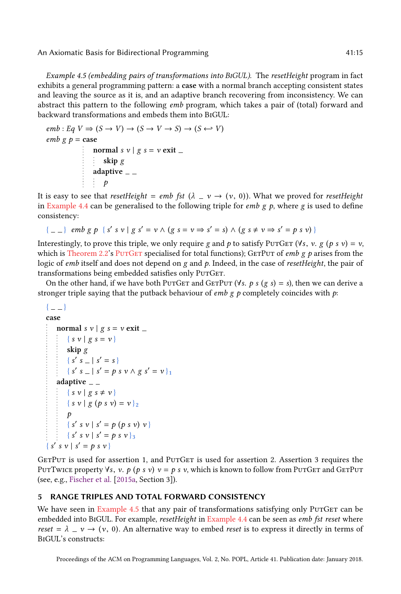<span id="page-14-1"></span>Example 4.5 (embedding pairs of transformations into BiGUL). The resetHeight program in fact exhibits a general programming pattern: a case with a normal branch accepting consistent states and leaving the source as it is, and an adaptive branch recovering from inconsistency. We can abstract this pattern to the following emb program, which takes a pair of (total) forward and backward transformations and embeds them into BiGUL:

```
emb : Eq \ V \Rightarrow (S \rightarrow V) \rightarrow (S \rightarrow V \rightarrow S) \rightarrow (S \leftarrow V)emb g \, p = \cscnormal s v \mid g s = v \text{ exit }skip g
                       adaptive<sub>--</sub>
                              \boldsymbol{v}
```
It is easy to see that resetHeight = emb fst  $(\lambda - v \rightarrow (v, 0))$ . What we proved for resetHeight in [Example 4.4](#page-13-0) can be generalised to the following triple for *emb* g p, where g is used to define consistency:

$$
\{-\quad \mid \text{emb } g \text{ } p \text{ } \{ s' \text{ } s \text{ } v \mid g \text{ } s' = v \land (g \text{ } s = v \Rightarrow s' = s) \land (g \text{ } s \neq v \Rightarrow s' = p \text{ } s \text{ } v) \}
$$

Interestingly, to prove this triple, we only require g and p to satisfy PurGer ( $\forall s, v. g (p s v) = v$ , which is [Theorem 2.2'](#page-3-2)s PUTGET specialised for total functions); GETPUT of *emb g p* arises from the logic of emb itself and does not depend on  $g$  and  $p$ . Indeed, in the case of *resetHeight*, the pair of transformations being embedded satisfies only PUTGET.

On the other hand, if we have both PUTGET and GETPUT ( $\forall s. p s (g s) = s$ ), then we can derive a stronger triple saying that the putback behaviour of *emb* g p completely coincides with p:

```
\{ -1 \}case
    normal s v \mid g s = v \text{ exit }\{ s \ v \mid g \ s = v \}skip g
         \{ s' s = | s' = s \}{ s' s _ | s' = p s v \wedge g s' = v }<sub>1</sub>
    adaptive = -\{ s \vee \mid g s \neq v \}{ s \ v \mid g (\rho s \ v) = v }_2p
         { s' s v | s' = p(p s v) v}
         { s' s v | s' = p s v } 3\{s' s v \mid s' = p s v\}
```
GETPUT is used for assertion 1, and PUTGET is used for assertion 2. Assertion 3 requires the PutTwice property  $\forall s, v.$  p (p s v)  $v = p s v$ , which is known to follow from PutGet and GetPut (see, e.g., [Fischer et al.](#page-27-10) [\[2015a,](#page-27-10) Section 3]).

## <span id="page-14-0"></span>5 RANGE TRIPLES AND TOTAL FORWARD CONSISTENCY

We have seen in [Example 4.5](#page-14-1) that any pair of transformations satisfying only PUTGET can be embedded into BIGUL. For example, *resetHeight* in [Example 4.4](#page-13-0) can be seen as *emb fst reset* where reset =  $\lambda$  -  $\nu$   $\rightarrow$  ( $\nu$ , 0). An alternative way to embed reset is to express it directly in terms of BiGUL's constructs: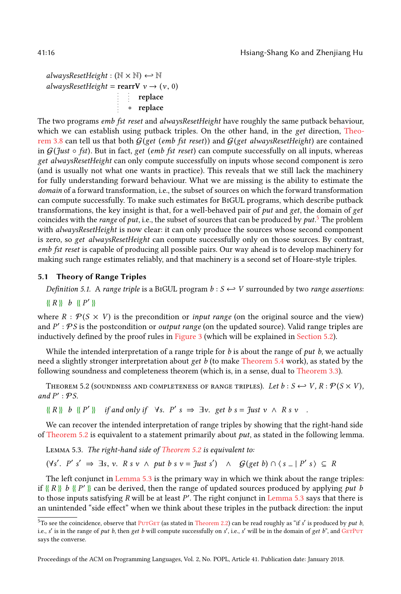alwaysResetHeight :  $(\mathbb{N} \times \mathbb{N}) \leftarrow \mathbb{N}$ alwaysResetHeight =  $\text{rearV } v \rightarrow (v, 0)$ replace ∗ replace

The two programs emb fst reset and alwaysResetHeight have roughly the same putback behaviour, which we can establish using putback triples. On the other hand, in the *get* direction, [Theo](#page-5-2)[rem 3.8](#page-5-2) can tell us that both  $G(\text{get }(\text{emb } \text{fst } \text{reset}))$  and  $G(\text{get } \text{alwaysResetHeight})$  are contained in  $G$ (Just  $\circ$  fst). But in fact, get (emb fst reset) can compute successfully on all inputs, whereas get alwaysResetHeight can only compute successfully on inputs whose second component is zero (and is usually not what one wants in practice). This reveals that we still lack the machinery for fully understanding forward behaviour. What we are missing is the ability to estimate the domain of a forward transformation, i.e., the subset of sources on which the forward transformation can compute successfully. To make such estimates for BiGUL programs, which describe putback transformations, the key insight is that, for a well-behaved pair of put and get, the domain of get coincides with the *range* of put, i.e., the subset of sources that can be produced by put.<sup>[5](#page-15-0)</sup> The problem with *alwaysResetHeight* is now clear: it can only produce the sources whose second component is zero, so get alwaysResetHeight can compute successfully only on those sources. By contrast, emb fst reset is capable of producing all possible pairs. Our way ahead is to develop machinery for making such range estimates reliably, and that machinery is a second set of Hoare-style triples.

## 5.1 Theory of Range Triples

Definition 5.1. A range triple is a BIGUL program  $b: S \leftarrow V$  surrounded by two range assertions:

 $\{R\}$  b  $\{P'\}$ 

where  $R : \mathcal{P}(S \times V)$  is the precondition or *input range* (on the original source and the view) and P': PS is the postcondition or output range (on the updated source). Valid range triples are inductively defined by the proof rules in [Figure 3](#page-16-1) (which will be explained in [Section 5.2\)](#page-17-0).

While the intended interpretation of a range triple for  $b$  is about the range of  $put b$ , we actually need a slightly stronger interpretation about get  $b$  (to make [Theorem 5.4](#page-16-0) work), as stated by the following soundness and completeness theorem (which is, in a sense, dual to [Theorem 3.3\)](#page-4-2).

<span id="page-15-1"></span>THEOREM 5.2 (SOUNDNESS AND COMPLETENESS OF RANGE TRIPLES). Let  $b: S \hookrightarrow V, R: \mathcal{P}(S \times V)$ , and  $P'$ :  $\mathcal{P}S$ .

 $\{[R]\}$  b  $\{[P']\}$  if and only if  $\forall s. \ P' s \Rightarrow \exists v. \ get \ b \ s = \mathcal{J}ust \ v \ \wedge \ R \ s \ v \quad .$ 

We can recover the intended interpretation of range triples by showing that the right-hand side of [Theorem 5.2](#page-15-1) is equivalent to a statement primarily about put, as stated in the following lemma.

<span id="page-15-2"></span>Lemma 5.3. The right-hand side of [Theorem 5.2](#page-15-1) is equivalent to:

 $(\forall s'. \; P' \; s' \Rightarrow \exists s, \; v. \; R \; s \; v \; \wedge \; put \; b \; s \; v = \mathcal{J}ust \; s') \; \wedge \; \mathcal{G}(get \; b) \cap \langle s_- | P' \; s \rangle \; \subseteq \; R$ 

The left conjunct in [Lemma 5.3](#page-15-2) is the primary way in which we think about the range triples: if  $\{R\}$  b  $\{P'\}$  can be derived, then the range of updated sources produced by applying put b to those inputs satisfying R will be at least P'. The right conjunct in [Lemma 5.3](#page-15-2) says that there is an unintended "side effect" when we think about these triples in the putback direction: the input

<span id="page-15-0"></span><sup>&</sup>lt;sup>5</sup>To see the coincidence, observe that PurGET (as stated in [Theorem 2.2\)](#page-3-2) can be read roughly as "if s' is produced by *put b*, i.e., s' is in the range of put b, then get b will compute successfully on s', i.e., s' will be in the domain of get b", and GETPUT says the converse.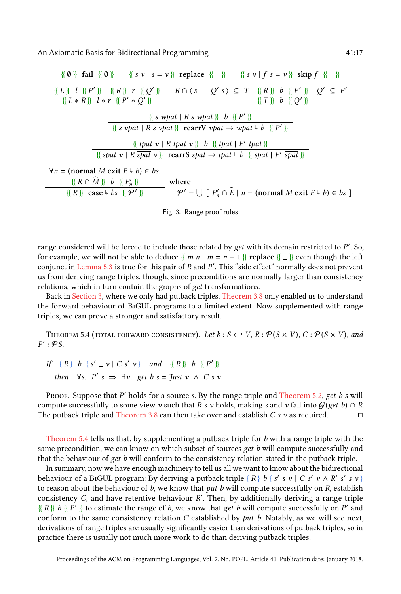<span id="page-16-1"></span>
$$
\frac{\{\{\emptyset\}\}\text{ fail }\{\{\emptyset\}\}\} \text{ right (a) }{\{\{x\}\}\text{ right (b) }\} \text{ right (b) }{\{\{x\}\}\text{ right (c) }\} \text{ right (d) }{\{\{x\}\}\text{ right (e) }\} \text{ right (f) }{\{\{x\}\}\text{ right (f) }{\{\{x\}\}\text{ right (g) }\} \text{ right (h) }{\{\{x\}\}\text{ right (h) }{\{\{x\}\}\text{ right (h) }{\{\{x\}\}\text{ right (h) }{\{\{x\}\}\text{ right (h) }{\{\{x\}\}\text{ right (h) }{\{\{x\}\}\text{ right (h) }{\{\{x\}\}\text{ right (h) }{\{\{x\}\}\text{ right (h) }{\{\{x\}\}\text{ right (h) }{\{\{x\}\}\text{ right (h) }{\{\{x\}\}\text{ right (h) }{\{\{x\}\}\text{ right (h) }{\{\{x\}\}\text{ right (h) }{\{\{x\}\}\text{ right (h) }{\{\{x\}\}\text{ right (h) }{\{\{x\}\}\text{ right (h) }{\{\{x\}\}\text{ right (h) }{\{\{x\}\}\text{ right (h) }{\{\{x\}\}\text{ right (h) }{\{\{x\}\}\text{ right (h) }{\{\{x\}\}\text{ right (h) }{\{\{x\}\}\text{ right (h) }{\{\{x\}\}\text{ right (h) }{\{\{x\}\}\text{ right (h) }{\{\{x\}\}\text{ right (h) }{\{\{x\}\}\text{ right (h) }{\{\{x\}\}\text{ right (h) }{\{\{x\}\}\text{ right (h) }{\{\{x\}\}\text{ right (h) }{\{\{x\}\}\text{ right (h) }{\{\{x\}\}\text{ right (h) }{\{\{x\}\}\text{ right (h) }{\{\{x\}\}\text{ right (h) }{\{\{x\}\}\text{ right (h) }{\{\{x\}\}\text{ right (h) }{\{\{x\}\}\text{ right (h) }{\{\{x\}\}\text{ right (h) }{\{\{x\}\}\text{ right (h) }{\{\{x\}\}\text{ right (h) }{\{\{x\}\}\text{ right (h) }{\{\{x\}\}\text{ right (h) }{\{\{x\}\}\text{ right (h) }{\{\{x\}\}\text{ right (h) }{\{\{x\}\}\text{ right (h) }{\{\{x\}\}\text
$$

Fig. 3. Range proof rules

range considered will be forced to include those related by  $get$  with its domain restricted to  $P^{\prime}$ . So, for example, we will not be able to deduce {{ m n | m = n + 1 }} replace {{  $\perp$  }} even though the left conjunct in [Lemma 5.3](#page-15-2) is true for this pair of R and P'. This "side effect" normally does not prevent us from deriving range triples, though, since preconditions are normally larger than consistency relations, which in turn contain the graphs of get transformations.

Back in [Section 3,](#page-4-0) where we only had putback triples, [Theorem 3.8](#page-5-2) only enabled us to understand the forward behaviour of BiGUL programs to a limited extent. Now supplemented with range triples, we can prove a stronger and satisfactory result.

<span id="page-16-0"></span>THEOREM 5.4 (TOTAL FORWARD CONSISTENCY). Let  $b : S \hookrightarrow V$ ,  $R : \mathcal{P}(S \times V)$ ,  $C : \mathcal{P}(S \times V)$ , and  $P':\mathcal{P}S.$ 

If 
$$
\{R\}
$$
 b  $\{s' = v \mid C s' v\}$  and  $\{\{R\}\}$  b  $\{\{P'\}\}\$   
then  $\forall s. P' s \Rightarrow \exists v. get b s = \text{Just } v \land C s v$ .

Proof. Suppose that  $P'$  holds for a source s. By the range triple and [Theorem 5.2,](#page-15-1) get  $b$  s will compute successfully to some view v such that R s v holds, making s and v fall into  $G(\text{get } b) \cap R$ . The putback triple and [Theorem 3.8](#page-5-2) can then take over and establish  $C s v$  as required.  $\square$ 

[Theorem 5.4](#page-16-0) tells us that, by supplementing a putback triple for  $b$  with a range triple with the same precondition, we can know on which subset of sources get b will compute successfully and that the behaviour of get b will conform to the consistency relation stated in the putback triple.

In summary, now we have enough machinery to tell us all we want to know about the bidirectional behaviour of a B1GUL program: By deriving a putback triple {  $R$  }  $b$  {  $s'$   $s$   $v$  |  $C$   $s'$   $v$   $\wedge$   $R'$   $s'$   $s$   $v$  } to reason about the behaviour of  $b$ , we know that *put b* will compute successfully on  $R$ , establish consistency C, and have retentive behaviour  $R'$ . Then, by additionally deriving a range triple  $\{R\}$  b  $\{P'\}$  to estimate the range of b, we know that get b will compute successfully on P' and conform to the same consistency relation  $C$  established by  $put$   $b$ . Notably, as we will see next, derivations of range triples are usually significantly easier than derivations of putback triples, so in practice there is usually not much more work to do than deriving putback triples.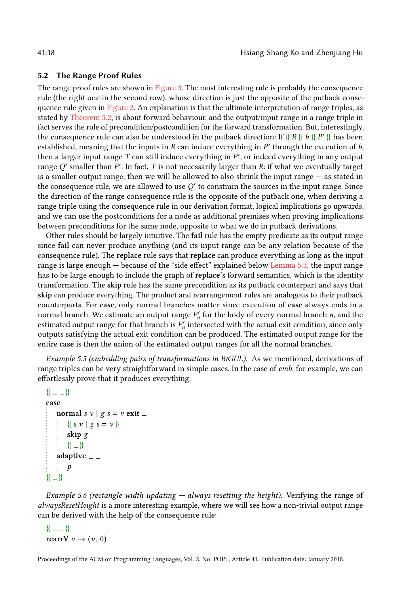## <span id="page-17-0"></span>5.2 The Range Proof Rules

The range proof rules are shown in [Figure 3.](#page-16-1) The most interesting rule is probably the consequence rule (the right one in the second row), whose direction is just the opposite of the putback consequence rule given in [Figure 2.](#page-6-1) An explanation is that the ultimate interpretation of range triples, as stated by [Theorem 5.2,](#page-15-1) is about forward behaviour, and the output/input range in a range triple in fact serves the role of precondition/postcondition for the forward transformation. But, interestingly, the consequence rule can also be understood in the putback direction: If  $\{R \mid R\}$  b  $\{P'\}$  has been established, meaning that the inputs in R can induce everything in  $P'$  through the execution of b, then a larger input range  $T$  can still induce everything in  $P'$ , or indeed everything in any output range  $Q'$  smaller than  $P'$ . In fact, T is not necessarily larger than R: if what we eventually target is a smaller output range, then we will be allowed to also shrink the input range — as stated in the consequence rule, we are allowed to use  $Q'$  to constrain the sources in the input range. Since the direction of the range consequence rule is the opposite of the putback one, when deriving a range triple using the consequence rule in our derivation format, logical implications go upwards, and we can use the postconditions for a node as additional premises when proving implications between preconditions for the same node, opposite to what we do in putback derivations.

Other rules should be largely intuitive. The fail rule has the empty predicate as its output range since fail can never produce anything (and its input range can be any relation because of the consequence rule). The replace rule says that replace can produce everything as long as the input range is large enough — because of the "side effect" explained below [Lemma 5.3,](#page-15-2) the input range has to be large enough to include the graph of replace's forward semantics, which is the identity transformation. The skip rule has the same precondition as its putback counterpart and says that skip can produce everything. The product and rearrangement rules are analogous to their putback counterparts. For case, only normal branches matter since execution of case always ends in a normal branch. We estimate an output range  $P'_n$  for the body of every normal branch n, and the estimated output range for that branch is  $P'_n$  intersected with the actual exit condition, since only outputs satisfying the actual exit condition can be produced. The estimated output range for the entire case is then the union of the estimated output ranges for all the normal branches.

Example 5.5 (embedding pairs of transformations in BiGUL). As we mentioned, derivations of range triples can be very straightforward in simple cases. In the case of emb, for example, we can effortlessly prove that it produces everything:

```
{K = -\mathbb{R}}case
    normal s v | g s = v \text{ exit }{\{ s \, v \mid g \, s = v \}}
         skip g
         {K} = {K}adaptive = -\mathcal{P}{K = }
```
Example 5.6 (rectangle width updating  $-$  always resetting the height). Verifying the range of alwaysResetHeight is a more interesting example, where we will see how a non-trivial output range can be derived with the help of the consequence rule:

```
{K = -\,}rearrV v \rightarrow (v, 0)
```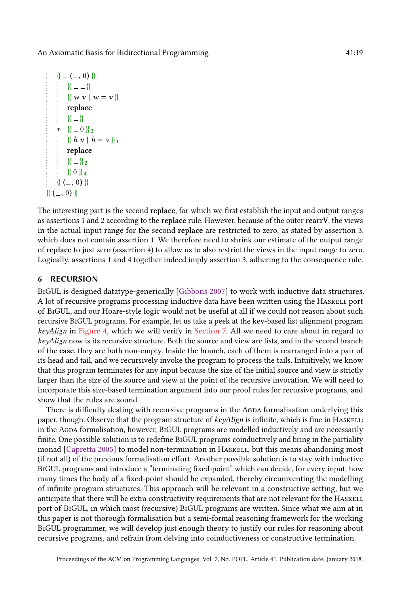```
{ {\ \|hspace{1ex} -(-,0)\} \} }{K = -\mathbb{R}}\{ w v \mid w = v \}replace
       {K} = {K}* {{ 0 }} 3
       {\{h v \mid h = v\}_{1}replace
       {K - k_2}{ \{ 0 \} }_4{ ( (-, 0) )}{ ( | (-, 0) | )}
```
The interesting part is the second replace, for which we first establish the input and output ranges as assertions 1 and 2 according to the replace rule. However, because of the outer rearrV, the views in the actual input range for the second replace are restricted to zero, as stated by assertion 3, which does not contain assertion 1. We therefore need to shrink our estimate of the output range of replace to just zero (assertion 4) to allow us to also restrict the views in the input range to zero. Logically, assertions 1 and 4 together indeed imply assertion 3, adhering to the consequence rule.

## <span id="page-18-0"></span>6 RECURSION

BiGUL is designed datatype-generically [\[Gibbons](#page-27-11) [2007\]](#page-27-11) to work with inductive data structures. A lot of recursive programs processing inductive data have been written using the Haskell port of BiGUL, and our Hoare-style logic would not be useful at all if we could not reason about such recursive BiGUL programs. For example, let us take a peek at the key-based list alignment program keyAlign in [Figure 4,](#page-20-1) which we will verify in [Section 7.](#page-20-0) All we need to care about in regard to keyAlign now is its recursive structure. Both the source and view are lists, and in the second branch of the case, they are both non-empty. Inside the branch, each of them is rearranged into a pair of its head and tail, and we recursively invoke the program to process the tails. Intuitively, we know that this program terminates for any input because the size of the initial source and view is strictly larger than the size of the source and view at the point of the recursive invocation. We will need to incorporate this size-based termination argument into our proof rules for recursive programs, and show that the rules are sound.

There is difficulty dealing with recursive programs in the AGDA formalisation underlying this paper, though. Observe that the program structure of  $keyalign$  is infinite, which is fine in HASKELL; in the Agda formalisation, however, BiGUL programs are modelled inductively and are necessarily finite. One possible solution is to redefine BiGUL programs coinductively and bring in the partiality monad [\[Capretta](#page-27-12) [2005\]](#page-27-12) to model non-termination in HASKELL, but this means abandoning most (if not all) of the previous formalisation effort. Another possible solution is to stay with inductive BiGUL programs and introduce a "terminating fixed-point" which can decide, for every input, how many times the body of a fixed-point should be expanded, thereby circumventing the modelling of infinite program structures. This approach will be relevant in a constructive setting, but we anticipate that there will be extra constructivity requirements that are not relevant for the HASKELL port of BiGUL, in which most (recursive) BiGUL programs are written. Since what we aim at in this paper is not thorough formalisation but a semi-formal reasoning framework for the working BiGUL programmer, we will develop just enough theory to justify our rules for reasoning about recursive programs, and refrain from delving into coinductiveness or constructive termination.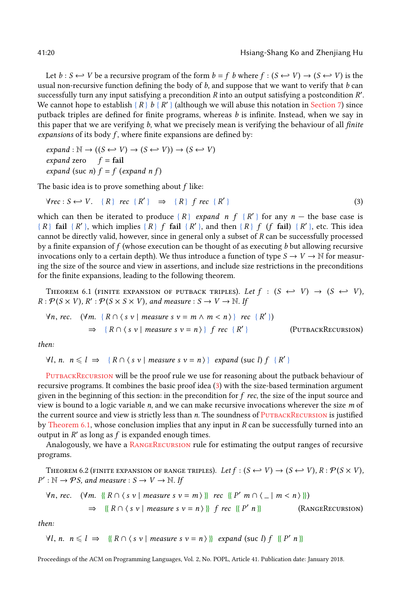Let  $b: S \hookrightarrow V$  be a recursive program of the form  $b = f$  b where  $f: (S \hookleftarrow V) \rightarrow (S \hookleftarrow V)$  is the usual non-recursive function defining the body of  $b$ , and suppose that we want to verify that  $b$  can successfully turn any input satisfying a precondition  $R$  into an output satisfying a postcondition  $R'$ . We cannot hope to establish  $\{R\}$  b  $\{R'\}$  (although we will abuse this notation in [Section 7\)](#page-20-0) since putback triples are defined for finite programs, whereas b is infinite. Instead, when we say in this paper that we are verifying  $b$ , what we precisely mean is verifying the behaviour of all *finite* expansions of its body  $f$ , where finite expansions are defined by:

 $expand: \mathbb{N} \to ((S \leftrightarrow V) \to (S \leftrightarrow V)) \to (S \leftrightarrow V)$ expand zero  $f = \text{fail}$ expand (suc n)  $f = f$  (expand n f)

The basic idea is to prove something about  $f$  like:

<span id="page-19-1"></span>
$$
\forall rec: S \longleftrightarrow V. \quad \{R\} \ rec \ \{R'\} \Rightarrow \ \{R\} \ f \ rec \ \{R'\} \tag{3}
$$

which can then be iterated to produce  $\{R\}$  expand n  $f \{R'\}$  for any  $n -$  the base case is  $\{R\}$  fail  $\{R'\}$ , which implies  $\{R\}$  f fail  $\{R'\}$ , and then  $\{R\}$  f  $(f \text{ fail})$   $\{R'\}$ , etc. This idea cannot be directly valid, however, since in general only a subset of R can be successfully processed by a finite expansion of  $f$  (whose execution can be thought of as executing  $b$  but allowing recursive invocations only to a certain depth). We thus introduce a function of type  $S \to V \to \mathbb{N}$  for measuring the size of the source and view in assertions, and include size restrictions in the preconditions for the finite expansions, leading to the following theorem.

<span id="page-19-2"></span>THEOREM 6.1 (FINITE EXPANSION OF PUTBACK TRIPLES). Let  $f : (S \leftrightarrow V) \rightarrow (S \leftrightarrow V)$ ,  $R: \mathcal{P}(S \times V), R': \mathcal{P}(S \times S \times V),$  and measure  $S \to V \to \mathbb{N}$ . If

<span id="page-19-0"></span>
$$
\forall n, rec. \quad (\forall m. \{ R \cap (s \ v \mid measure s \ v = m \land m < n) \} rec \{ R' \})
$$
\n
$$
\Rightarrow \{ R \cap (s \ v \mid measure s \ v = n) \} f rec \{ R' \}
$$
\n
$$
(PUTBACKRECURSION)
$$

then:

 $\forall l, n. \ n \leq l \implies \{ R \cap \langle s \ v \mid measure \ s \ v = n \rangle \} \ expand (suc l) f \{ R' \}$ 

[PutbackRecursion](#page-19-0) will be the proof rule we use for reasoning about the putback behaviour of recursive programs. It combines the basic proof idea [\(3\)](#page-19-1) with the size-based termination argument given in the beginning of this section: in the precondition for  $f$  rec, the size of the input source and view is bound to a logic variable  $n$ , and we can make recursive invocations wherever the size  $m$  of the current source and view is strictly less than n. The soundness of PUTBACKRECURSION is justified by [Theorem 6.1,](#page-19-2) whose conclusion implies that any input in  $R$  can be successfully turned into an output in  $R'$  as long as  $f$  is expanded enough times.

Analogously, we have a RANGERECURSION rule for estimating the output ranges of recursive programs.

<span id="page-19-4"></span>THEOREM 6.2 (FINITE EXPANSION OF RANGE TRIPLES). Let  $f : (S \leftrightarrow V) \rightarrow (S \leftrightarrow V)$ ,  $R : \mathcal{P}(S \times V)$ ,  $P': \mathbb{N} \to \mathcal{P} S$ , and measure :  $S \to V \to \mathbb{N}$ . If

<span id="page-19-3"></span>
$$
\forall n, rec. \quad (\forall m. \ \{\!\{ R \cap \langle s \ v \mid measure s \ v = m \rangle \}\!\} \ rec \ \{\!\{ P' \ m \cap \langle \_ \mid m < n \rangle \}\!\})
$$
\n
$$
\Rightarrow \ \{\!\{ R \cap \langle s \ v \mid measure s \ v = n \rangle \}\!\} \ f \ rec \ \{\!\{ P' \ n \}\!\} \ (R \ \text{N} \ \text{C} \ \text{C} \ \text{C} \ \text{C} \ \text{C} \ \text{C} \ \text{C} \ \text{C} \ \text{C} \ \text{C} \ \text{C} \ \text{C} \ \text{C} \ \text{C} \ \text{C} \ \text{C} \ \text{C} \ \text{C} \ \text{C} \ \text{C} \ \text{C} \ \text{C} \ \text{C} \ \text{C} \ \text{C} \ \text{C} \ \text{C} \ \text{C} \ \text{C} \ \text{C} \ \text{C} \ \text{C} \ \text{C} \ \text{C} \ \text{C} \ \text{C} \ \text{C} \ \text{C} \ \text{C} \ \text{C} \ \text{C} \ \text{C} \ \text{C} \ \text{C} \ \text{C} \ \text{C} \ \text{C} \ \text{C} \ \text{C} \ \text{C} \ \text{C} \ \text{C} \ \text{C} \ \text{C} \ \text{C} \ \text{C} \ \text{C} \ \text{C} \ \text{C} \ \text{C} \ \text{C} \ \text{C} \ \text{C} \ \text{C} \ \text{C} \ \text{C} \ \text{C} \ \text{C} \ \text{C} \ \text{C} \ \text{C} \ \text{C} \ \text{C} \ \text{C} \ \text{C} \ \text{C} \ \text{C} \ \text{C} \ \text{C} \ \text{C} \ \text{C} \ \text{C} \ \text{C} \ \text{C} \ \text{C} \ \text{C} \ \text{C} \ \text{C} \ \text{C} \ \text{C} \ \text{C} \ \text{C} \ \text{C} \ \text{C} \ \text{C} \ \text{C} \ \text{C} \ \text{C} \ \text{C} \ \text{C} \ \text{C} \ \text{C} \ \text{C} \ \text{C} \ \text
$$

then:

 $\forall l, n. \ n \leq l \implies \{ \{ R \cap \langle s \ v \mid \text{measure } s \ v = n \rangle \} \} \ \text{expand} \ (\text{succ } l) \ f \ \{ \{ P' \ n \} \}$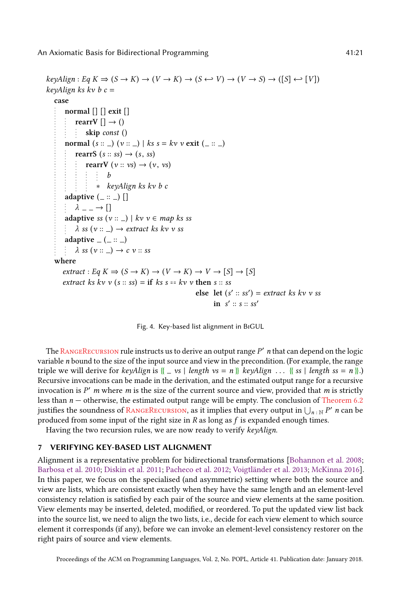```
keyalign : Eq K \Rightarrow (S \rightarrow K) \rightarrow (V \rightarrow K) \rightarrow (S \leftrightarrow V) \rightarrow (V \rightarrow S) \rightarrow ([S] \leftrightarrow [V])keyAlign ks kv b c =case
       normal [] [] exit []
            rearrV [] \rightarrow ()
                skip const ()
       normal (s::-) (v::-) | ks s = kv v exit (.:: )rearrS (s:: ss) \rightarrow (s, ss)rearrV (v :: vs) \rightarrow (v, vs)b
                    ∗ keyAlign ks kv b c
       adaptive (:: ) \lceil\lambda \_\, \rightarrow []
       adaptive ss (v:: ) | kv v \in map ks ss
            \lambda ss (v :: _) \rightarrow extract ks kv v ss
       adaptive (= (=::=)\lambda ss (v :: _) \rightarrow c v :: ss
   where
       extract: Eq K \Rightarrow (S \rightarrow K) \rightarrow (V \rightarrow K) \rightarrow V \rightarrow [S] \rightarrow [S]extract ks kv v (s:: ss) = if ks s == kv v then s:: sselse let (s' :: ss') = extract ks kv v ss
                                                                       in s' :: s :: ss'
```


The RANGERECURSION rule instructs us to derive an output range P' n that can depend on the logic variable n bound to the size of the input source and view in the precondition. (For example, the range triple we will derive for  $keyalign$  is  $\{-vs \mid length \, vs = n \}$   $keyalign \dots \{ss \mid length \, ss = n \}$ . Recursive invocations can be made in the derivation, and the estimated output range for a recursive invocation is  $P'$  m where m is the size of the current source and view, provided that m is strictly less than  $n -$  otherwise, the estimated output range will be empty. The conclusion of [Theorem 6.2](#page-19-4) justifies the soundness of RANGERECURSION, as it implies that every output in  $\bigcup_{n \in \mathbb{N}} P'$  *n* can be produced from some input of the right size in  $R$  as long as  $f$  is expanded enough times.

Having the two recursion rules, we are now ready to verify keyAlign.

## <span id="page-20-0"></span>7 VERIFYING KEY-BASED LIST ALIGNMENT

Alignment is a representative problem for bidirectional transformations [\[Bohannon et al.](#page-26-1) [2008;](#page-26-1) [Barbosa et al.](#page-26-2) [2010;](#page-26-2) [Diskin et al.](#page-27-13) [2011;](#page-27-13) [Pacheco et al.](#page-28-6) [2012;](#page-28-6) [Voigtländer et al.](#page-28-7) [2013;](#page-28-7) [McKinna](#page-27-14) [2016\]](#page-27-14). In this paper, we focus on the specialised (and asymmetric) setting where both the source and view are lists, which are consistent exactly when they have the same length and an element-level consistency relation is satisfied by each pair of the source and view elements at the same position. View elements may be inserted, deleted, modified, or reordered. To put the updated view list back into the source list, we need to align the two lists, i.e., decide for each view element to which source element it corresponds (if any), before we can invoke an element-level consistency restorer on the right pairs of source and view elements.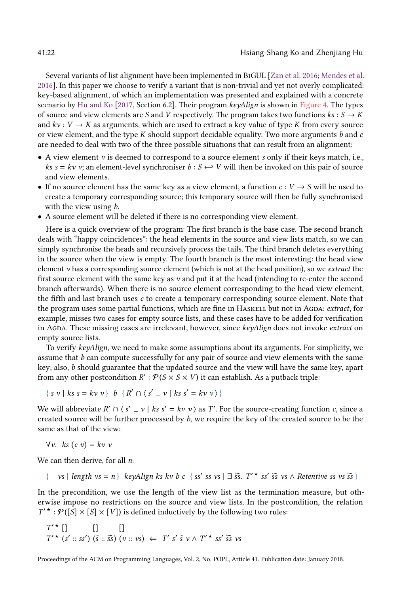Several variants of list alignment have been implemented in BiGUL [\[Zan et al.](#page-28-8) [2016;](#page-28-8) [Mendes et al.](#page-28-9) [2016\]](#page-28-9). In this paper we choose to verify a variant that is non-trivial and yet not overly complicated: key-based alignment, of which an implementation was presented and explained with a concrete scenario by [Hu and Ko](#page-27-9) [\[2017,](#page-27-9) Section 6.2]. Their program keyAlign is shown in [Figure 4.](#page-20-1) The types of source and view elements are S and V respectively. The program takes two functions  $ks: S \to K$ and  $kv: V \to K$  as arguments, which are used to extract a key value of type K from every source or view element, and the type  $K$  should support decidable equality. Two more arguments  $b$  and  $c$ are needed to deal with two of the three possible situations that can result from an alignment:

- $\bullet$  A view element  $\nu$  is deemed to correspond to a source element s only if their keys match, i.e.,  $ks s = kv v$ ; an element-level synchroniser  $b : S \leftrightarrow V$  will then be invoked on this pair of source and view elements.
- If no source element has the same key as a view element, a function  $c: V \to S$  will be used to create a temporary corresponding source; this temporary source will then be fully synchronised with the view using  $b$ .
- A source element will be deleted if there is no corresponding view element.

Here is a quick overview of the program: The first branch is the base case. The second branch deals with "happy coincidences": the head elements in the source and view lists match, so we can simply synchronise the heads and recursively process the tails. The third branch deletes everything in the source when the view is empty. The fourth branch is the most interesting: the head view element  $\nu$  has a corresponding source element (which is not at the head position), so we *extract* the first source element with the same key as  $\nu$  and put it at the head (intending to re-enter the second branch afterwards). When there is no source element corresponding to the head view element, the fifth and last branch uses c to create a temporary corresponding source element. Note that the program uses some partial functions, which are fine in HASKELL but not in AGDA: extract, for example, misses two cases for empty source lists, and these cases have to be added for verification in AGDA. These missing cases are irrelevant, however, since keyAlign does not invoke extract on empty source lists.

To verify  $keyAlipn$ , we need to make some assumptions about its arguments. For simplicity, we assume that  $b$  can compute successfully for any pair of source and view elements with the same key; also, b should guarantee that the updated source and the view will have the same key, apart from any other postcondition  $R': \mathcal{P}(S \times S \times V)$  it can establish. As a putback triple:

$$
\{ s \ v \mid ks \ s = kv \ v \} \ b \ \{ R' \cap (s' = v \mid ks \ s' = kv \ v \} \}
$$

We will abbreviate  $R' \cap (s' = v \mid ks s' = kv \ v)$  as T'. For the source-creating function c, since a created source will be further processed by b, we require the key of the created source to be the same as that of the view:

$$
\forall v. \quad ks\ (c\ v) = kv\ v
$$

We can then derive, for all  $n$ :

$$
\{- vs \mid length vs = n\}
$$
 key $Align$ ks  $kv$   $b$   $c$   $\{ ss' \text{ } ss \text{ } vs \mid \exists \overline{ss} \cdot T'^{\star} \text{ } ss' \overline{ss} \text{ } vs \land$   $Retentive$   $ss$   $vs \overline{ss}$ 

In the precondition, we use the length of the view list as the termination measure, but otherwise impose no restrictions on the source and view lists. In the postcondition, the relation  $T'$  \* :  $\mathcal{P}([\overline{S}] \times [S] \times [V])$  is defined inductively by the following two rules:

$$
T' \star []
$$
  
\n
$$
T' \star (s' :: ss') (\tilde{s} :: \tilde{s}\tilde{s}) (v :: vs) \Leftarrow T' s' \tilde{s} v \wedge T' \star ss' \tilde{s}\tilde{s} vs
$$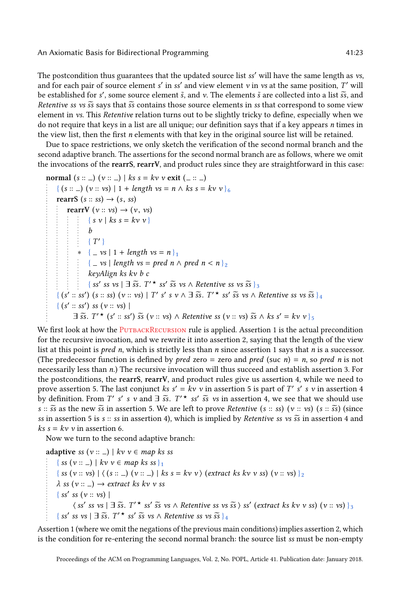The postcondition thus guarantees that the updated source list ss' will have the same length as vs, and for each pair of source element s' in ss' and view element v in vs at the same position, T' will be established for s', some source element  $\tilde{s}$ , and v. The elements  $\tilde{s}$  are collected into a list  $\tilde{s}\tilde{s}$ , and  $R_{\text{def}}$  and  $\tilde{s}$  are  $\tilde{s}$  are  $\tilde{s}$  are  $\tilde{s}$  are  $\tilde{s}$ . Retentive ss vs  $\tilde{s}$  says that  $\tilde{s}$  contains those source elements in ss that correspond to some view element in vs. This Retentive relation turns out to be slightly tricky to define, especially when we do not require that keys in a list are all unique; our definition says that if a key appears n times in the view list, then the first n elements with that key in the original source list will be retained.

Due to space restrictions, we only sketch the verification of the second normal branch and the second adaptive branch. The assertions for the second normal branch are as follows, where we omit the invocations of the rearrS, rearrV, and product rules since they are straightforward in this case:

```
normal (s::\_)(v::\_)| ks s = kv v exit (...):\{(s::\_)(v:: vs) | 1 + length vs = n \land ks s = kv v\}_{6}rearrS (s:: ss) \rightarrow (s, ss)rearrV (v:: vs) \rightarrow (v, vs)\{ s \vee \mid ks s = kv \vee \}b
                    \{T'\}\frac{1}{4} ∗ { _ vs | 1 + length vs = n }<sub>1</sub>
                 \{-vs \mid length vs = pred n \wedge pred n < n\}_2keyAlign ks kv b c
                    \{ss'ss vs \mid \exists \overline{ss}.\ T'\star ss'\overline{ss} \text{ vs } \wedge \text{ Retentive ss vs } \overline{ss}\}_{3}\frac{1}{2} (s' :: ss') (s :: ss) (v :: vs) | T' s' s v \wedge \exists \widetilde{ss}. T'^* ss' \widetilde{ss} vs \wedge Retentive ss vs \widetilde{ss} \frac{1}{4}{ (s' :: ss') ss (v :: vs) |
             \exists \widetilde{s}s. T'* (s' :: ss') \widetilde{s}s (v :: vs) \wedge Retentive ss (v :: vs) \widetilde{s}s \wedge ks s' = kv v } 5
```
We first look at how the PUTBACKRECURSION rule is applied. Assertion 1 is the actual precondition for the recursive invocation, and we rewrite it into assertion 2, saying that the length of the view list at this point is *pred n*, which is strictly less than *n* since assertion 1 says that *n* is a successor. (The predecessor function is defined by *pred* zero = zero and *pred* (suc *n*) = *n*, so *pred n* is not necessarily less than n.) The recursive invocation will thus succeed and establish assertion 3. For the postconditions, the rearrS, rearrV, and product rules give us assertion 4, while we need to prove assertion 5. The last conjunct ks  $s' = kv$  v in assertion 5 is part of T' s' s v in assertion 4 by definition. From T' s' s v and  $\exists \tilde{s}$ , T'  $\star$  ss'  $\tilde{s}$  vs in assertion 4, we see that we should use s ::  $\tilde{s}$ s as the new  $\tilde{s}$ s in assertion 5. We are left to prove *Retentive* (s :: ss) (v :: vs) (s ::  $\tilde{s}$ s) (since ss in assertion 5 is s  $::$  ss in assertion 4), which is implied by Retentive ss vs  $\tilde{ss}$  in assertion 4 and  $ks s = kv v$  in assertion 6.

Now we turn to the second adaptive branch:

adaptive ss  $(v:: ) | kv v \in map$  ks ss

 $\{ss(v::\_)\mid kv\vee\in map\;ks\;ss\}_{1}$ { ss (v :: vs) |  $\langle$  (s :: ) (v :: ) | ks s = kv v  $\rangle$  (extract ks kv v ss) (v :: vs) }<sub>2</sub>  $\lambda$  ss (v :: \_)  $\rightarrow$  extract ks kv v ss  $\{ ss' \; ss \; (v :: vs) \; |$  $\langle ss' \text{ } ss \text{ } v \text{ } s \rangle = \overline{ss}$ . T'  $\star$  ss'  $\overline{ss}$  vs  $\wedge$  Retentive ss vs  $\overline{ss}$   $\rangle$  ss' (extract ks kv v ss) (v :: vs)  $\frac{1}{3}$  $\{ ss' \text{ } ss \text{ } vs \text{ } | \exists \ \tilde{ss}. \ T' \star \ ss' \ \tilde{ss} \ \text{ } vs \ \land \text{ } \text{ } s \text{ } vs \ \tilde{ss} \}$ 

Assertion 1 (where we omit the negations of the previous main conditions) implies assertion 2, which is the condition for re-entering the second normal branch: the source list ss must be non-empty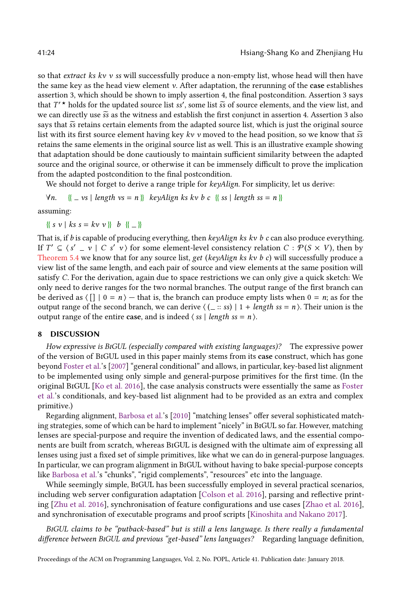so that extract ks kv  $v$  ss will successfully produce a non-empty list, whose head will then have the same key as the head view element  $\nu$ . After adaptation, the rerunning of the case establishes assertion 3, which should be shown to imply assertion 4, the final postcondition. Assertion 3 says that  $T'$   $\star$  holds for the updated source list ss', some list  $\tilde{s}$  of source elements, and the view list, and we can directly use  $\tilde{s}$  as the witness and establish the first conjunct in assertion 4. Assertion 3 al we can directly use  $\tilde{s}$  as the witness and establish the first conjunct in assertion 4. Assertion 3 also says that  $\tilde{s}$  retains certain elements from the adapted source list, which is just the original source list with its first source element having key kv v moved to the head position, so we know that  $\tilde{s}$ retains the same elements in the original source list as well. This is an illustrative example showing that adaptation should be done cautiously to maintain sufficient similarity between the adapted source and the original source, or otherwise it can be immensely difficult to prove the implication from the adapted postcondition to the final postcondition.

We should not forget to derive a range triple for keyAlign. For simplicity, let us derive:

 $\forall n. \quad {\{\_\} vs \mid length vs = n {\}\}$  keyAlign ks kv b c  ${\{\} ss \mid length ss = n {\}\}$ 

assuming:

 $\{ \{ s \ v \mid ks s = kv v \} \} \; b \; \{ \_ \}$ 

That is, if b is capable of producing everything, then  $keyalign$  ks kv b c can also produce everything. If  $T' \subseteq \langle s' - v \mid C \ s' \ v \rangle$  for some element-level consistency relation  $C : P(S \times V)$ , then by [Theorem 5.4](#page-16-0) we know that for any source list, get (keyAlign ks kv b c) will successfully produce a view list of the same length, and each pair of source and view elements at the same position will satisfy C. For the derivation, again due to space restrictions we can only give a quick sketch: We only need to derive ranges for the two normal branches. The output range of the first branch can be derived as  $\langle \lceil \rceil \rceil = n$  — that is, the branch can produce empty lists when  $0 = n$ ; as for the output range of the second branch, we can derive  $\langle (-::ss) | 1 + length ss = n \rangle$ . Their union is the output range of the entire case, and is indeed  $\langle ss | length ss = n \rangle$ .

## <span id="page-23-0"></span>8 DISCUSSION

How expressive is BiGUL (especially compared with existing languages)? The expressive power of the version of BiGUL used in this paper mainly stems from its case construct, which has gone beyond [Foster et al.'](#page-27-1)s [\[2007\]](#page-27-1) "general conditional" and allows, in particular, key-based list alignment to be implemented using only simple and general-purpose primitives for the first time. (In the original BiGUL [\[Ko et al.](#page-27-4) [2016\]](#page-27-4), the case analysis constructs were essentially the same as [Foster](#page-27-1) [et al.'](#page-27-1)s conditionals, and key-based list alignment had to be provided as an extra and complex primitive.)

Regarding alignment, [Barbosa et al.'](#page-26-2)s [\[2010\]](#page-26-2) "matching lenses" offer several sophisticated matching strategies, some of which can be hard to implement "nicely" in BiGUL so far. However, matching lenses are special-purpose and require the invention of dedicated laws, and the essential components are built from scratch, whereas BiGUL is designed with the ultimate aim of expressing all lenses using just a fixed set of simple primitives, like what we can do in general-purpose languages. In particular, we can program alignment in BiGUL without having to bake special-purpose concepts like [Barbosa et al.'](#page-26-2)s "chunks", "rigid complements", "resources" etc into the language.

While seemingly simple, BiGUL has been successfully employed in several practical scenarios, including web server configuration adaptation [\[Colson et al.](#page-27-15) [2016\]](#page-27-15), parsing and reflective printing [\[Zhu et al.](#page-28-10) [2016\]](#page-28-10), synchronisation of feature configurations and use cases [\[Zhao et al.](#page-28-11) [2016\]](#page-28-11), and synchronisation of executable programs and proof scripts [\[Kinoshita and Nakano](#page-27-16) [2017\]](#page-27-16).

BiGUL claims to be "putback-based" but is still a lens language. Is there really a fundamental difference between BiGUL and previous "get-based" lens languages? Regarding language definition,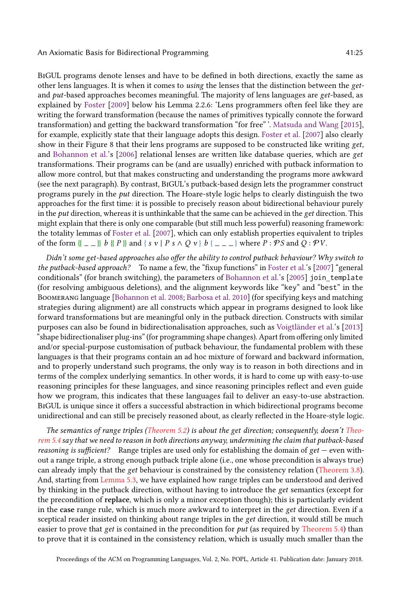BiGUL programs denote lenses and have to be defined in both directions, exactly the same as other lens languages. It is when it comes to using the lenses that the distinction between the getand put-based approaches becomes meaningful. The majority of lens languages are get-based, as explained by [Foster](#page-27-7) [\[2009\]](#page-27-7) below his Lemma 2.2.6: 'Lens programmers often feel like they are writing the forward transformation (because the names of primitives typically connote the forward transformation) and getting the backward transformation "for free" '. [Matsuda and Wang](#page-27-17) [\[2015\]](#page-27-17), for example, explicitly state that their language adopts this design. [Foster et al.](#page-27-1) [\[2007\]](#page-27-1) also clearly show in their Figure 8 that their lens programs are supposed to be constructed like writing get, and [Bohannon et al.'](#page-27-18)s [\[2006\]](#page-27-18) relational lenses are written like database queries, which are get transformations. Their programs can be (and are usually) enriched with putback information to allow more control, but that makes constructing and understanding the programs more awkward (see the next paragraph). By contrast, BiGUL's putback-based design lets the programmer construct programs purely in the put direction. The Hoare-style logic helps to clearly distinguish the two approaches for the first time: it is possible to precisely reason about bidirectional behaviour purely in the put direction, whereas it is unthinkable that the same can be achieved in the get direction. This might explain that there is only one comparable (but still much less powerful) reasoning framework: the totality lemmas of [Foster et al.](#page-27-1) [\[2007\]](#page-27-1), which can only establish properties equivalent to triples of the form  $\{- \}$  b  $\{P\}$  and  $\{ s \vee P s \wedge Q v \}$  b  $\{- \}$  where  $P : \mathcal{P} S$  and  $Q : \mathcal{P} V$ .

Didn't some get-based approaches also offer the ability to control putback behaviour? Why switch to the putback-based approach? To name a few, the "fixup functions" in [Foster et al.'](#page-27-1)s [\[2007\]](#page-27-1) "general conditionals" (for branch switching), the parameters of [Bohannon et al.'](#page-27-19)s [\[2005\]](#page-27-19) join\_template (for resolving ambiguous deletions), and the alignment keywords like "key" and "best" in the Boomerang language [\[Bohannon et al.](#page-26-1) [2008;](#page-26-1) [Barbosa et al.](#page-26-2) [2010\]](#page-26-2) (for specifying keys and matching strategies during alignment) are all constructs which appear in programs designed to look like forward transformations but are meaningful only in the putback direction. Constructs with similar purposes can also be found in bidirectionalisation approaches, such as [Voigtländer et al.'](#page-28-7)s [\[2013\]](#page-28-7) "shape bidirectionaliser plug-ins" (for programming shape changes). Apart from offering only limited and/or special-purpose customisation of putback behaviour, the fundamental problem with these languages is that their programs contain an ad hoc mixture of forward and backward information, and to properly understand such programs, the only way is to reason in both directions and in terms of the complex underlying semantics. In other words, it is hard to come up with easy-to-use reasoning principles for these languages, and since reasoning principles reflect and even guide how we program, this indicates that these languages fail to deliver an easy-to-use abstraction. BiGUL is unique since it offers a successful abstraction in which bidirectional programs become unidirectional and can still be precisely reasoned about, as clearly reflected in the Hoare-style logic.

The semantics of range triples [\(Theorem 5.2\)](#page-15-1) is about the get direction; consequently, doesn't [Theo](#page-16-0)[rem 5.4](#page-16-0) say that we need to reason in both directions anyway, undermining the claim that putback-based *reasoning is sufficient?* Range triples are used only for establishing the domain of  $get$  — even without a range triple, a strong enough putback triple alone (i.e., one whose precondition is always true) can already imply that the get behaviour is constrained by the consistency relation [\(Theorem 3.8\)](#page-5-2). And, starting from [Lemma 5.3,](#page-15-2) we have explained how range triples can be understood and derived by thinking in the putback direction, without having to introduce the get semantics (except for the precondition of replace, which is only a minor exception though); this is particularly evident in the case range rule, which is much more awkward to interpret in the get direction. Even if a sceptical reader insisted on thinking about range triples in the get direction, it would still be much easier to prove that get is contained in the precondition for  $put$  (as required by [Theorem 5.4\)](#page-16-0) than to prove that it is contained in the consistency relation, which is usually much smaller than the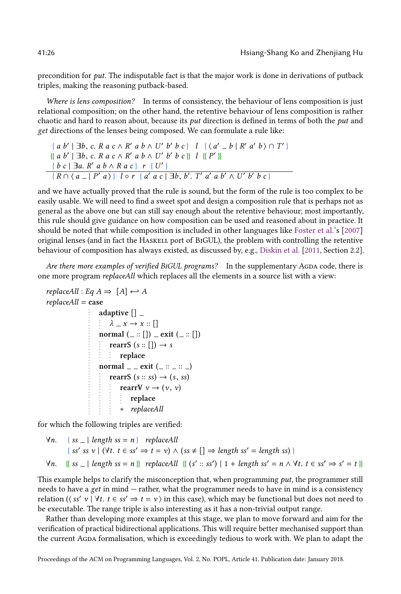precondition for put. The indisputable fact is that the major work is done in derivations of putback triples, making the reasoning putback-based.

Where is lens composition? In terms of consistency, the behaviour of lens composition is just relational composition; on the other hand, the retentive behaviour of lens composition is rather chaotic and hard to reason about, because its put direction is defined in terms of both the put and get directions of the lenses being composed. We can formulate a rule like:

$$
\{a b' | \exists b, c. \, R \, a \, c \wedge R' \, a \, b \wedge U' \, b' \, b \, c\} \quad l \quad \{(a' - b) \, R' \, a' \, b) \cap T'\}
$$
  

$$
\{a b' | \exists b, c. \, R \, a \, c \wedge R' \, a \, b \wedge U' \, b' \, b \, c\} \quad l \quad \{(P')\}
$$
  

$$
\{b c | \exists a. \, R' \, a \, b \wedge R \, a \, c\} \quad r \quad \{U'\}
$$
  

$$
\{R \cap (a - | P' \, a) \} \quad l \circ r \quad \{a' \, a \, c \mid \exists b, b' \, T' \, a' \, a \, b' \wedge U' \, b' \, b \, c\}
$$

and we have actually proved that the rule is sound, but the form of the rule is too complex to be easily usable. We will need to find a sweet spot and design a composition rule that is perhaps not as general as the above one but can still say enough about the retentive behaviour; most importantly, this rule should give guidance on how composition can be used and reasoned about in practice. It should be noted that while composition is included in other languages like [Foster et al.'](#page-27-1)s [\[2007\]](#page-27-1) original lenses (and in fact the Haskell port of BiGUL), the problem with controlling the retentive behaviour of composition has always existed, as discussed by, e.g., [Diskin et al.](#page-27-13) [\[2011,](#page-27-13) Section 2.2].

Are there more examples of verified BIGUL programs? In the supplementary AGDA code, there is one more program replaceAll which replaces all the elements in a source list with a view:

```
replacedll : Eq A \Rightarrow [A] \leftrightarrow Areplacedll = caseadaptive [] ]\lambda = x \rightarrow x ::normal (.:: []) ] = ext (]::: [])rearrS (s::[])\rightarrow sreplace
                  normal = = exit (= :: = :: = )rearrS (s:: ss) \rightarrow (s, ss)rearrV v \rightarrow (v, v)replace
                        ∗ replaceAll
```
for which the following triples are verified:

\n- $$
\forall n.
$$
 {ss = | length ss = n} replaceAll
\n- {ss' ss v | (\forall t. t \in ss' \Rightarrow t = v) \land (ss \neq [] \Rightarrow length ss' = length ss}
\n- $\forall n.$  {ss = | length ss = n} replaceAll { (s' :: ss') | 1 + length ss' = n \land \forall t. t \in ss' \Rightarrow s' = t }
\n

This example helps to clarify the misconception that, when programming  $put$ , the programmer still needs to have a get in mind — rather, what the programmer needs to have in mind is a consistency relation ( $\langle ss' \ v | \ \forall t. \ t \in ss' \Rightarrow t = v \rangle$  in this case), which may be functional but does not need to be executable. The range triple is also interesting as it has a non-trivial output range be executable. The range triple is also interesting as it has a non-trivial output range.

Rather than developing more examples at this stage, we plan to move forward and aim for the verification of practical bidirectional applications. This will require better mechanised support than the current Agda formalisation, which is exceedingly tedious to work with. We plan to adapt the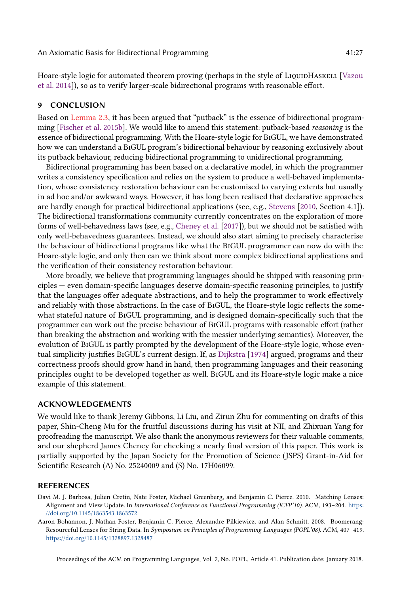Hoare-style logic for automated theorem proving (perhaps in the style of LIQUIDHASKELL [\[Vazou](#page-28-12) [et al.](#page-28-12) [2014\]](#page-28-12)), so as to verify larger-scale bidirectional programs with reasonable effort.

## <span id="page-26-0"></span>9 CONCLUSION

Based on [Lemma 2.3,](#page-3-3) it has been argued that "putback" is the essence of bidirectional programming [\[Fischer et al.](#page-27-20) [2015b\]](#page-27-20). We would like to amend this statement: putback-based reasoning is the essence of bidirectional programming. With the Hoare-style logic for BiGUL, we have demonstrated how we can understand a BiGUL program's bidirectional behaviour by reasoning exclusively about its putback behaviour, reducing bidirectional programming to unidirectional programming.

Bidirectional programming has been based on a declarative model, in which the programmer writes a consistency specification and relies on the system to produce a well-behaved implementation, whose consistency restoration behaviour can be customised to varying extents but usually in ad hoc and/or awkward ways. However, it has long been realised that declarative approaches are hardly enough for practical bidirectional applications (see, e.g., [Stevens](#page-28-1) [\[2010,](#page-28-1) Section 4.1]). The bidirectional transformations community currently concentrates on the exploration of more forms of well-behavedness laws (see, e.g., [Cheney et al.](#page-27-21) [\[2017\]](#page-27-21)), but we should not be satisfied with only well-behavedness guarantees. Instead, we should also start aiming to precisely characterise the behaviour of bidirectional programs like what the BiGUL programmer can now do with the Hoare-style logic, and only then can we think about more complex bidirectional applications and the verification of their consistency restoration behaviour.

More broadly, we believe that programming languages should be shipped with reasoning principles — even domain-specific languages deserve domain-specific reasoning principles, to justify that the languages offer adequate abstractions, and to help the programmer to work effectively and reliably with those abstractions. In the case of BiGUL, the Hoare-style logic reflects the somewhat stateful nature of BiGUL programming, and is designed domain-specifically such that the programmer can work out the precise behaviour of BiGUL programs with reasonable effort (rather than breaking the abstraction and working with the messier underlying semantics). Moreover, the evolution of BiGUL is partly prompted by the development of the Hoare-style logic, whose eventual simplicity justifies BiGUL's current design. If, as [Dijkstra](#page-27-22) [\[1974\]](#page-27-22) argued, programs and their correctness proofs should grow hand in hand, then programming languages and their reasoning principles ought to be developed together as well. BiGUL and its Hoare-style logic make a nice example of this statement.

### ACKNOWLEDGEMENTS

We would like to thank Jeremy Gibbons, Li Liu, and Zirun Zhu for commenting on drafts of this paper, Shin-Cheng Mu for the fruitful discussions during his visit at NII, and Zhixuan Yang for proofreading the manuscript. We also thank the anonymous reviewers for their valuable comments, and our shepherd James Cheney for checking a nearly final version of this paper. This work is partially supported by the Japan Society for the Promotion of Science (JSPS) Grant-in-Aid for Scientific Research (A) No. 25240009 and (S) No. 17H06099.

#### REFERENCES

<span id="page-26-2"></span>Davi M. J. Barbosa, Julien Cretin, Nate Foster, Michael Greenberg, and Benjamin C. Pierce. 2010. Matching Lenses: Alignment and View Update. In International Conference on Functional Programming (ICFP'10). ACM, 193–204. [https:](https://doi.org/10.1145/1863543.1863572) [//doi.org/10.1145/1863543.1863572](https://doi.org/10.1145/1863543.1863572)

<span id="page-26-1"></span>Aaron Bohannon, J. Nathan Foster, Benjamin C. Pierce, Alexandre Pilkiewicz, and Alan Schmitt. 2008. Boomerang: Resourceful Lenses for String Data. In Symposium on Principles of Programming Languages (POPL'08). ACM, 407–419. <https://doi.org/10.1145/1328897.1328487>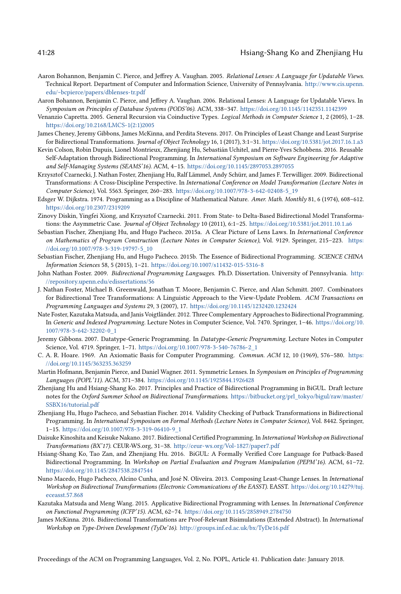#### 41:28 Hsiang-Shang Ko and Zhenjiang Hu

- <span id="page-27-19"></span>Aaron Bohannon, Benjamin C. Pierce, and Jeffrey A. Vaughan. 2005. Relational Lenses: A Language for Updatable Views. Technical Report. Department of Computer and Information Science, University of Pennsylvania. [http://www.cis.upenn.](http://www.cis.upenn.edu/~bcpierce/papers/dblenses-tr.pdf) [edu/~bcpierce/papers/dblenses-tr.pdf](http://www.cis.upenn.edu/~bcpierce/papers/dblenses-tr.pdf)
- <span id="page-27-18"></span>Aaron Bohannon, Benjamin C. Pierce, and Jeffrey A. Vaughan. 2006. Relational Lenses: A Language for Updatable Views. In Symposium on Principles of Database Systems (PODS'06). ACM, 338–347. <https://doi.org/10.1145/1142351.1142399>
- <span id="page-27-12"></span>Venanzio Capretta. 2005. General Recursion via Coinductive Types. Logical Methods in Computer Science 1, 2 (2005), 1–28. [https://doi.org/10.2168/LMCS-1\(2:1\)2005](https://doi.org/10.2168/LMCS-1(2:1)2005)
- <span id="page-27-21"></span>James Cheney, Jeremy Gibbons, James McKinna, and Perdita Stevens. 2017. On Principles of Least Change and Least Surprise for Bidirectional Transformations. Journal of Object Technology 16, 1 (2017), 3:1–31. <https://doi.org/10.5381/jot.2017.16.1.a3>
- <span id="page-27-15"></span>Kevin Colson, Robin Dupuis, Lionel Montrieux, Zhenjiang Hu, Sebastián Uchitel, and Pierre-Yves Schobbens. 2016. Reusable Self-Adaptation through Bidirectional Programming. In International Symposium on Software Engineering for Adaptive and Self-Managing Systems (SEAMS'16). ACM, 4–15. <https://doi.org/10.1145/2897053.2897055>
- <span id="page-27-0"></span>Krzysztof Czarnecki, J. Nathan Foster, Zhenjiang Hu, Ralf Lämmel, Andy Schürr, and James F. Terwilliger. 2009. Bidirectional Transformations: A Cross-Discipline Perspective. In International Conference on Model Transformation (Lecture Notes in Computer Science), Vol. 5563. Springer, 260–283. [https://doi.org/10.1007/978-3-642-02408-5\\_19](https://doi.org/10.1007/978-3-642-02408-5_19)
- <span id="page-27-22"></span>Edsger W. Dijkstra. 1974. Programming as a Discipline of Mathematical Nature. Amer. Math. Monthly 81, 6 (1974), 608–612. <https://doi.org/10.2307/2319209>
- <span id="page-27-13"></span>Zinovy Diskin, Yingfei Xiong, and Krzysztof Czarnecki. 2011. From State- to Delta-Based Bidirectional Model Transformations: the Asymmetric Case. Journal of Object Technology 10 (2011), 6:1-25. <https://doi.org/10.5381/jot.2011.10.1.a6>
- <span id="page-27-10"></span>Sebastian Fischer, Zhenjiang Hu, and Hugo Pacheco. 2015a. A Clear Picture of Lens Laws. In International Conference on Mathematics of Program Construction (Lecture Notes in Computer Science), Vol. 9129. Springer, 215–223. [https:](https://doi.org/10.1007/978-3-319-19797-5_10) [//doi.org/10.1007/978-3-319-19797-5\\_10](https://doi.org/10.1007/978-3-319-19797-5_10)
- <span id="page-27-20"></span>Sebastian Fischer, Zhenjiang Hu, and Hugo Pacheco. 2015b. The Essence of Bidirectional Programming. SCIENCE CHINA Information Sciences 58, 5 (2015), 1–21. <https://doi.org/10.1007/s11432-015-5316-8>
- <span id="page-27-7"></span>John Nathan Foster. 2009. Bidirectional Programming Languages. Ph.D. Dissertation. University of Pennsylvania. [http:](http://repository.upenn.edu/edissertations/56) [//repository.upenn.edu/edissertations/56](http://repository.upenn.edu/edissertations/56)
- <span id="page-27-1"></span>J. Nathan Foster, Michael B. Greenwald, Jonathan T. Moore, Benjamin C. Pierce, and Alan Schmitt. 2007. Combinators for Bidirectional Tree Transformations: A Linguistic Approach to the View-Update Problem. ACM Transactions on Programming Languages and Systems 29, 3 (2007), 17. <https://doi.org/10.1145/1232420.1232424>
- <span id="page-27-2"></span>Nate Foster, Kazutaka Matsuda, and Janis Voigtländer. 2012. Three Complementary Approaches to Bidirectional Programming. In Generic and Indexed Programming. Lecture Notes in Computer Science, Vol. 7470. Springer, 1–46. [https://doi.org/10.](https://doi.org/10.1007/978-3-642-32202-0_1) [1007/978-3-642-32202-0\\_1](https://doi.org/10.1007/978-3-642-32202-0_1)
- <span id="page-27-11"></span>Jeremy Gibbons. 2007. Datatype-Generic Programming. In Datatype-Generic Programming. Lecture Notes in Computer Science, Vol. 4719. Springer, 1–71. [https://doi.org/10.1007/978-3-540-76786-2\\_1](https://doi.org/10.1007/978-3-540-76786-2_1)
- <span id="page-27-5"></span>C. A. R. Hoare. 1969. An Axiomatic Basis for Computer Programming. Commun. ACM 12, 10 (1969), 576–580. [https:](https://doi.org/10.1145/363235.363259) [//doi.org/10.1145/363235.363259](https://doi.org/10.1145/363235.363259)
- <span id="page-27-8"></span>Martin Hofmann, Benjamin Pierce, and Daniel Wagner. 2011. Symmetric Lenses. In Symposium on Principles of Programming Languages (POPL'11). ACM, 371–384. <https://doi.org/10.1145/1925844.1926428>
- <span id="page-27-9"></span>Zhenjiang Hu and Hsiang-Shang Ko. 2017. Principles and Practice of Bidirectional Programming in BiGUL. Draft lecture notes for the Oxford Summer School on Bidirectional Transformations. [https://bitbucket.org/prl\\_tokyo/bigul/raw/master/](https://bitbucket.org/prl_tokyo/bigul/raw/master/SSBX16/tutorial.pdf) [SSBX16/tutorial.pdf](https://bitbucket.org/prl_tokyo/bigul/raw/master/SSBX16/tutorial.pdf)
- <span id="page-27-3"></span>Zhenjiang Hu, Hugo Pacheco, and Sebastian Fischer. 2014. Validity Checking of Putback Transformations in Bidirectional Programming. In International Symposium on Formal Methods (Lecture Notes in Computer Science), Vol. 8442. Springer, 1–15. [https://doi.org/10.1007/978-3-319-06410-9\\_1](https://doi.org/10.1007/978-3-319-06410-9_1)
- <span id="page-27-16"></span>Daisuke Kinoshita and Keisuke Nakano. 2017. Bidirectional Certified Programming. In International Workshop on Bidirectional Transformations (BX'17). CEUR-WS.org, 31–38. <http://ceur-ws.org/Vol-1827/paper7.pdf>
- <span id="page-27-4"></span>Hsiang-Shang Ko, Tao Zan, and Zhenjiang Hu. 2016. BiGUL: A Formally Verified Core Language for Putback-Based Bidirectional Programming. In Workshop on Partial Evaluation and Program Manipulation (PEPM'16). ACM, 61–72. <https://doi.org/10.1145/2847538.2847544>
- <span id="page-27-6"></span>Nuno Macedo, Hugo Pacheco, Alcino Cunha, and José N. Oliveira. 2013. Composing Least-Change Lenses. In International Workshop on Bidirectional Transformations (Electronic Communications of the EASST). EASST. [https://doi.org/10.14279/tuj.](https://doi.org/10.14279/tuj.eceasst.57.868) [eceasst.57.868](https://doi.org/10.14279/tuj.eceasst.57.868)
- <span id="page-27-17"></span>Kazutaka Matsuda and Meng Wang. 2015. Applicative Bidirectional Programming with Lenses. In International Conference on Functional Programming (ICFP'15). ACM, 62–74. <https://doi.org/10.1145/2858949.2784750>
- <span id="page-27-14"></span>James McKinna. 2016. Bidirectional Transformations are Proof-Relevant Bisimulations (Extended Abstract). In International Workshop on Type-Driven Development (TyDe'16). <http://groups.inf.ed.ac.uk/bx/TyDe16.pdf>